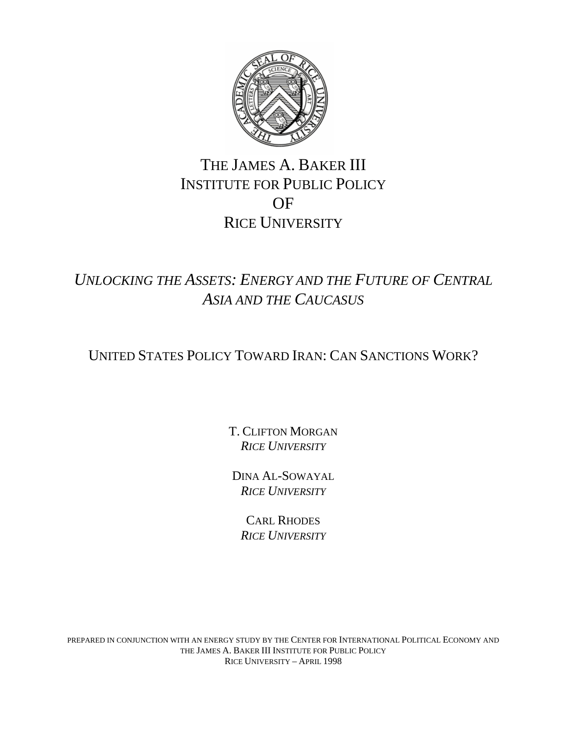

# THE JAMES A. BAKER III INSTITUTE FOR PUBLIC POLICY OF RICE UNIVERSITY

*UNLOCKING THE ASSETS: ENERGY AND THE FUTURE OF CENTRAL ASIA AND THE CAUCASUS*

UNITED STATES POLICY TOWARD IRAN: CAN SANCTIONS WORK?

T. CLIFTON MORGAN *RICE UNIVERSITY*

DINA AL-SOWAYAL *RICE UNIVERSITY*

CARL RHODES *RICE UNIVERSITY*

PREPARED IN CONJUNCTION WITH AN ENERGY STUDY BY THE CENTER FOR INTERNATIONAL POLITICAL ECONOMY AND THE JAMES A. BAKER III INSTITUTE FOR PUBLIC POLICY RICE UNIVERSITY – APRIL 1998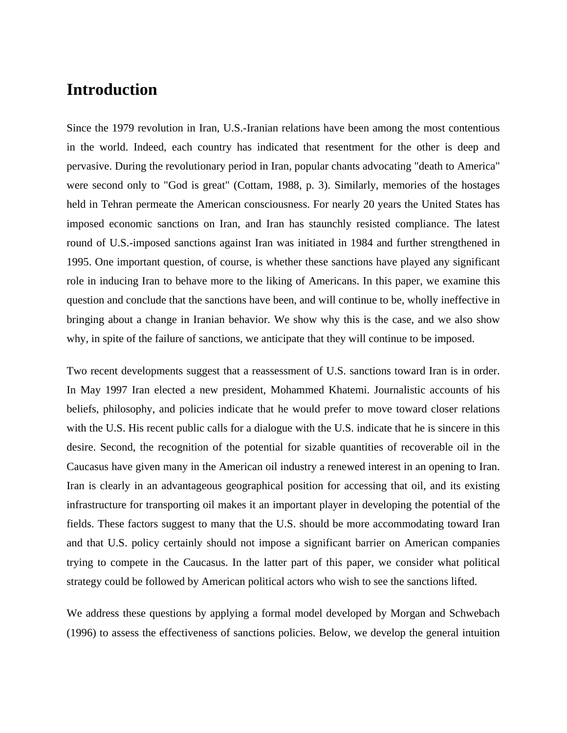# **Introduction**

Since the 1979 revolution in Iran, U.S.-Iranian relations have been among the most contentious in the world. Indeed, each country has indicated that resentment for the other is deep and pervasive. During the revolutionary period in Iran, popular chants advocating "death to America" were second only to "God is great" (Cottam, 1988, p. 3). Similarly, memories of the hostages held in Tehran permeate the American consciousness. For nearly 20 years the United States has imposed economic sanctions on Iran, and Iran has staunchly resisted compliance. The latest round of U.S.-imposed sanctions against Iran was initiated in 1984 and further strengthened in 1995. One important question, of course, is whether these sanctions have played any significant role in inducing Iran to behave more to the liking of Americans. In this paper, we examine this question and conclude that the sanctions have been, and will continue to be, wholly ineffective in bringing about a change in Iranian behavior. We show why this is the case, and we also show why, in spite of the failure of sanctions, we anticipate that they will continue to be imposed.

Two recent developments suggest that a reassessment of U.S. sanctions toward Iran is in order. In May 1997 Iran elected a new president, Mohammed Khatemi. Journalistic accounts of his beliefs, philosophy, and policies indicate that he would prefer to move toward closer relations with the U.S. His recent public calls for a dialogue with the U.S. indicate that he is sincere in this desire. Second, the recognition of the potential for sizable quantities of recoverable oil in the Caucasus have given many in the American oil industry a renewed interest in an opening to Iran. Iran is clearly in an advantageous geographical position for accessing that oil, and its existing infrastructure for transporting oil makes it an important player in developing the potential of the fields. These factors suggest to many that the U.S. should be more accommodating toward Iran and that U.S. policy certainly should not impose a significant barrier on American companies trying to compete in the Caucasus. In the latter part of this paper, we consider what political strategy could be followed by American political actors who wish to see the sanctions lifted.

We address these questions by applying a formal model developed by Morgan and Schwebach (1996) to assess the effectiveness of sanctions policies. Below, we develop the general intuition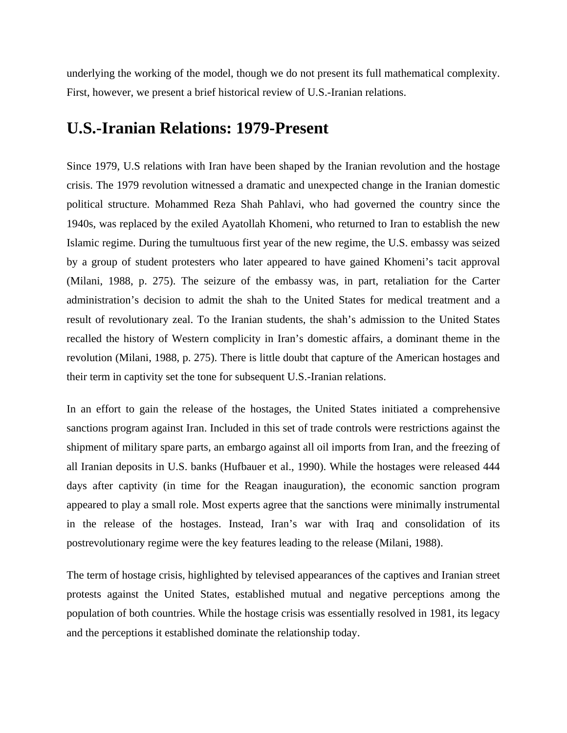underlying the working of the model, though we do not present its full mathematical complexity. First, however, we present a brief historical review of U.S.-Iranian relations.

## **U.S.-Iranian Relations: 1979-Present**

recalled the history of Western complicity in Iran's domestic affairs, a dominant theme in the revolution (Milani, 1988, p. 275). There is little doubt that capture of the American hostages and Since 1979, U.S relations with Iran have been shaped by the Iranian revolution and the hostage crisis. The 1979 revolution witnessed a dramatic and unexpected change in the Iranian domestic political structure. Mohammed Reza Shah Pahlavi, who had governed the country since the 1940s, was replaced by the exiled Ayatollah Khomeni, who returned to Iran to establish the new Islamic regime. During the tumultuous first year of the new regime, the U.S. embassy was seized by a group of student protesters who later appeared to have gained Khomeni's tacit approval (Milani, 1988, p. 275). The seizure of the embassy was, in part, retaliation for the Carter administration's decision to admit the shah to the United States for medical treatment and a result of revolutionary zeal. To the Iranian students, the shah's admission to the United States their term in captivity set the tone for subsequent U.S.-Iranian relations.

In an effort to gain the release of the hostages, the United States initiated a comprehensive sanctions program against Iran. Included in this set of trade controls were restrictions against the shipment of military spare parts, an embargo against all oil imports from Iran, and the freezing of all Iranian deposits in U.S. banks (Hufbauer et al., 1990). While the hostages were released 444 days after captivity (in time for the Reagan inauguration), the economic sanction program appeared to play a small role. Most experts agree that the sanctions were minimally instrumental in the release of the hostages. Instead, Iran's war with Iraq and consolidation of its postrevolutionary regime were the key features leading to the release (Milani, 1988).

The term of hostage crisis, highlighted by televised appearances of the captives and Iranian street protests against the United States, established mutual and negative perceptions among the population of both countries. While the hostage crisis was essentially resolved in 1981, its legacy and the perceptions it established dominate the relationship today.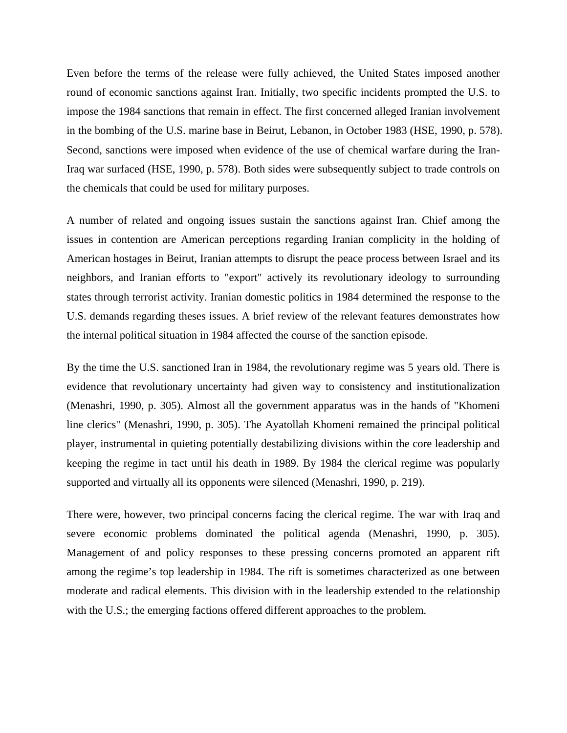Even before the terms of the release were fully achieved, the United States imposed another round of economic sanctions against Iran. Initially, two specific incidents prompted the U.S. to impose the 1984 sanctions that remain in effect. The first concerned alleged Iranian involvement in the bombing of the U.S. marine base in Beirut, Lebanon, in October 1983 (HSE, 1990, p. 578). Second, sanctions were imposed when evidence of the use of chemical warfare during the Iran-Iraq war surfaced (HSE, 1990, p. 578). Both sides were subsequently subject to trade controls on the chemicals that could be used for military purposes.

A number of related and ongoing issues sustain the sanctions against Iran. Chief among the issues in contention are American perceptions regarding Iranian complicity in the holding of American hostages in Beirut, Iranian attempts to disrupt the peace process between Israel and its neighbors, and Iranian efforts to "export" actively its revolutionary ideology to surrounding states through terrorist activity. Iranian domestic politics in 1984 determined the response to the U.S. demands regarding theses issues. A brief review of the relevant features demonstrates how the internal political situation in 1984 affected the course of the sanction episode.

evidence that revolutionary uncertainty had given way to consistency and institutionalization By the time the U.S. sanctioned Iran in 1984, the revolutionary regime was 5 years old. There is (Menashri, 1990, p. 305). Almost all the government apparatus was in the hands of "Khomeni line clerics" (Menashri, 1990, p. 305). The Ayatollah Khomeni remained the principal political player, instrumental in quieting potentially destabilizing divisions within the core leadership and keeping the regime in tact until his death in 1989. By 1984 the clerical regime was popularly supported and virtually all its opponents were silenced (Menashri, 1990, p. 219).

There were, however, two principal concerns facing the clerical regime. The war with Iraq and severe economic problems dominated the political agenda (Menashri, 1990, p. 305). Management of and policy responses to these pressing concerns promoted an apparent rift among the regime's top leadership in 1984. The rift is sometimes characterized as one between moderate and radical elements. This division with in the leadership extended to the relationship with the U.S.; the emerging factions offered different approaches to the problem.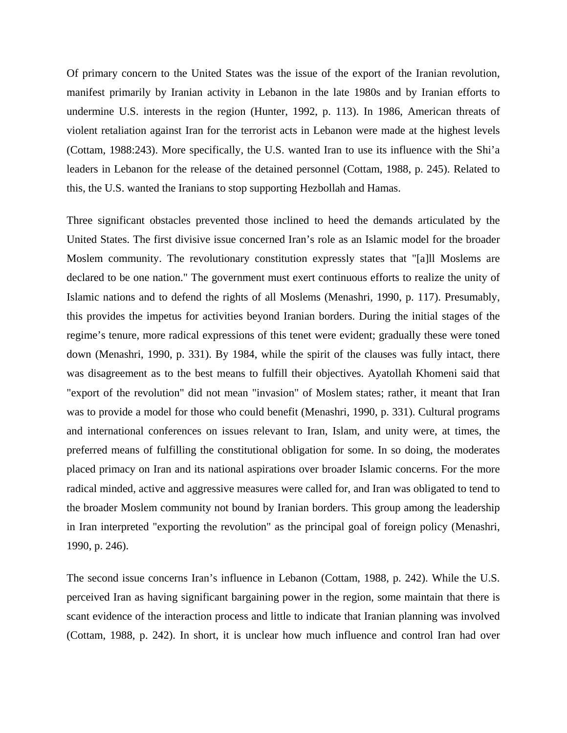Of primary concern to the United States was the issue of the export of the Iranian revolution, manifest primarily by Iranian activity in Lebanon in the late 1980s and by Iranian efforts to undermine U.S. interests in the region (Hunter, 1992, p. 113). In 1986, American threats of violent retaliation against Iran for the terrorist acts in Lebanon were made at the highest levels (Cottam, 1988:243). More specifically, the U.S. wanted Iran to use its influence with the Shi'a leaders in Lebanon for the release of the detained personnel (Cottam, 1988, p. 245). Related to this, the U.S. wanted the Iranians to stop supporting Hezbollah and Hamas.

regime's tenure, more radical expressions of this tenet were evident; gradually these were toned down (Menashri, 1990, p. 331). By 1984, while the spirit of the clauses was fully intact, there radical minded, active and aggressive measures were called for, and Iran was obligated to tend to Three significant obstacles prevented those inclined to heed the demands articulated by the United States. The first divisive issue concerned Iran's role as an Islamic model for the broader Moslem community. The revolutionary constitution expressly states that "[a]ll Moslems are declared to be one nation." The government must exert continuous efforts to realize the unity of Islamic nations and to defend the rights of all Moslems (Menashri, 1990, p. 117). Presumably, this provides the impetus for activities beyond Iranian borders. During the initial stages of the was disagreement as to the best means to fulfill their objectives. Ayatollah Khomeni said that "export of the revolution" did not mean "invasion" of Moslem states; rather, it meant that Iran was to provide a model for those who could benefit (Menashri, 1990, p. 331). Cultural programs and international conferences on issues relevant to Iran, Islam, and unity were, at times, the preferred means of fulfilling the constitutional obligation for some. In so doing, the moderates placed primacy on Iran and its national aspirations over broader Islamic concerns. For the more the broader Moslem community not bound by Iranian borders. This group among the leadership in Iran interpreted "exporting the revolution" as the principal goal of foreign policy (Menashri, 1990, p. 246).

scant evidence of the interaction process and little to indicate that Iranian planning was involved (Cottam, 1988, p. 242). In short, it is unclear how much influence and control Iran had over The second issue concerns Iran's influence in Lebanon (Cottam, 1988, p. 242). While the U.S. perceived Iran as having significant bargaining power in the region, some maintain that there is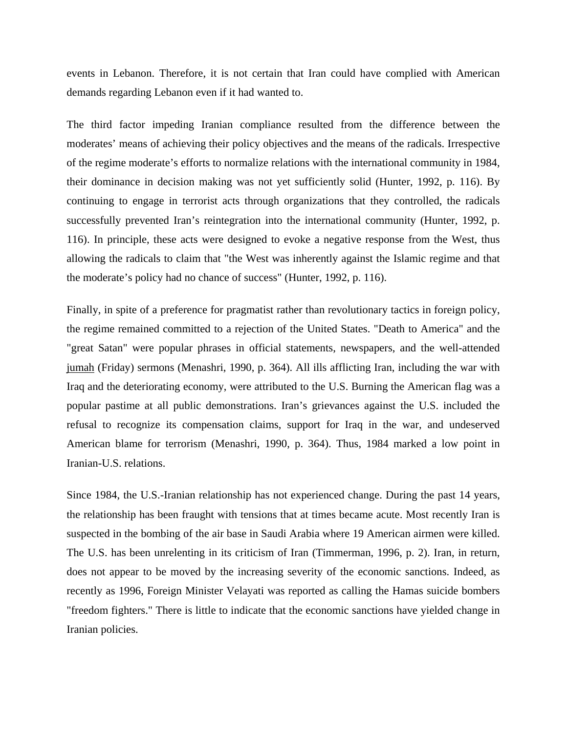events in Lebanon. Therefore, it is not certain that Iran could have complied with American demands regarding Lebanon even if it had wanted to.

The third factor impeding Iranian compliance resulted from the difference between the moderates' means of achieving their policy objectives and the means of the radicals. Irrespective of the regime moderate's efforts to normalize relations with the international community in 1984, their dominance in decision making was not yet sufficiently solid (Hunter, 1992, p. 116). By continuing to engage in terrorist acts through organizations that they controlled, the radicals successfully prevented Iran's reintegration into the international community (Hunter, 1992, p. 116). In principle, these acts were designed to evoke a negative response from the West, thus allowing the radicals to claim that "the West was inherently against the Islamic regime and that the moderate's policy had no chance of success" (Hunter, 1992, p. 116).

Finally, in spite of a preference for pragmatist rather than revolutionary tactics in foreign policy, the regime remained committed to a rejection of the United States. "Death to America" and the "great Satan" were popular phrases in official statements, newspapers, and the well-attended jumah (Friday) sermons (Menashri, 1990, p. 364). All ills afflicting Iran, including the war with Iraq and the deteriorating economy, were attributed to the U.S. Burning the American flag was a popular pastime at all public demonstrations. Iran's grievances against the U.S. included the refusal to recognize its compensation claims, support for Iraq in the war, and undeserved American blame for terrorism (Menashri, 1990, p. 364). Thus, 1984 marked a low point in Iranian-U.S. relations.

Since 1984, the U.S.-Iranian relationship has not experienced change. During the past 14 years, the relationship has been fraught with tensions that at times became acute. Most recently Iran is suspected in the bombing of the air base in Saudi Arabia where 19 American airmen were killed. The U.S. has been unrelenting in its criticism of Iran (Timmerman, 1996, p. 2). Iran, in return, does not appear to be moved by the increasing severity of the economic sanctions. Indeed, as recently as 1996, Foreign Minister Velayati was reported as calling the Hamas suicide bombers "freedom fighters." There is little to indicate that the economic sanctions have yielded change in Iranian policies.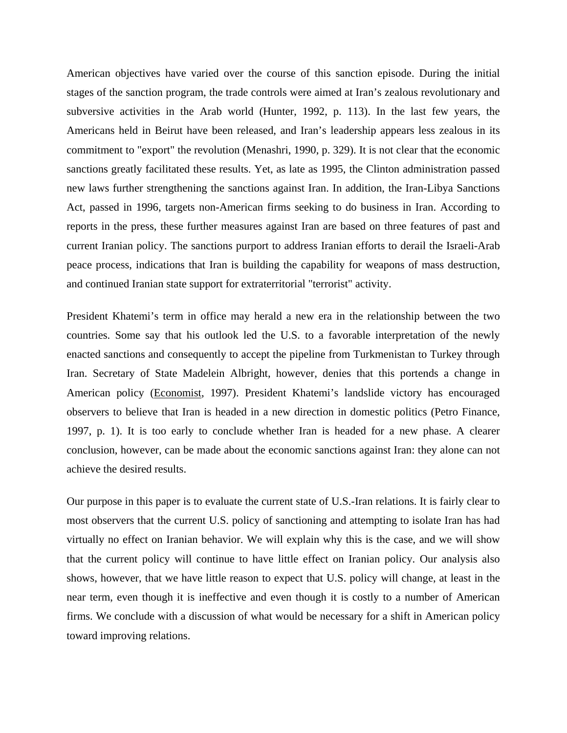American objectives have varied over the course of this sanction episode. During the initial stages of the sanction program, the trade controls were aimed at Iran's zealous revolutionary and subversive activities in the Arab world (Hunter, 1992, p. 113). In the last few years, the Americans held in Beirut have been released, and Iran's leadership appears less zealous in its commitment to "export" the revolution (Menashri, 1990, p. 329). It is not clear that the economic sanctions greatly facilitated these results. Yet, as late as 1995, the Clinton administration passed new laws further strengthening the sanctions against Iran. In addition, the Iran-Libya Sanctions Act, passed in 1996, targets non-American firms seeking to do business in Iran. According to reports in the press, these further measures against Iran are based on three features of past and current Iranian policy. The sanctions purport to address Iranian efforts to derail the Israeli-Arab peace process, indications that Iran is building the capability for weapons of mass destruction, and continued Iranian state support for extraterritorial "terrorist" activity.

President Khatemi's term in office may herald a new era in the relationship between the two countries. Some say that his outlook led the U.S. to a favorable interpretation of the newly enacted sanctions and consequently to accept the pipeline from Turkmenistan to Turkey through Iran. Secretary of State Madelein Albright, however, denies that this portends a change in American policy (Economist, 1997). President Khatemi's landslide victory has encouraged observers to believe that Iran is headed in a new direction in domestic politics (Petro Finance, 1997, p. 1). It is too early to conclude whether Iran is headed for a new phase. A clearer conclusion, however, can be made about the economic sanctions against Iran: they alone can not achieve the desired results.

toward improving relations. Our purpose in this paper is to evaluate the current state of U.S.-Iran relations. It is fairly clear to most observers that the current U.S. policy of sanctioning and attempting to isolate Iran has had virtually no effect on Iranian behavior. We will explain why this is the case, and we will show that the current policy will continue to have little effect on Iranian policy. Our analysis also shows, however, that we have little reason to expect that U.S. policy will change, at least in the near term, even though it is ineffective and even though it is costly to a number of American firms. We conclude with a discussion of what would be necessary for a shift in American policy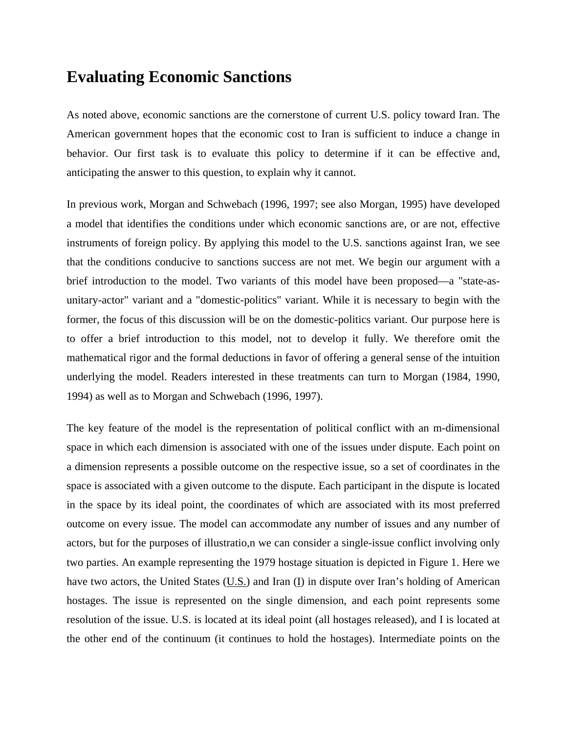## **Evaluating Economic Sanctions**

As noted above, economic sanctions are the cornerstone of current U.S. policy toward Iran. The American government hopes that the economic cost to Iran is sufficient to induce a change in behavior. Our first task is to evaluate this policy to determine if it can be effective and, anticipating the answer to this question, to explain why it cannot.

In previous work, Morgan and Schwebach (1996, 1997; see also Morgan, 1995) have developed a model that identifies the conditions under which economic sanctions are, or are not, effective instruments of foreign policy. By applying this model to the U.S. sanctions against Iran, we see that the conditions conducive to sanctions success are not met. We begin our argument with a brief introduction to the model. Two variants of this model have been proposed—a "state-asunitary-actor" variant and a "domestic-politics" variant. While it is necessary to begin with the former, the focus of this discussion will be on the domestic-politics variant. Our purpose here is to offer a brief introduction to this model, not to develop it fully. We therefore omit the mathematical rigor and the formal deductions in favor of offering a general sense of the intuition underlying the model. Readers interested in these treatments can turn to Morgan (1984, 1990, 1994) as well as to Morgan and Schwebach (1996, 1997).

a dimension represents a possible outcome on the respective issue, so a set of coordinates in the space is associated with a given outcome to the dispute. Each participant in the dispute is located The key feature of the model is the representation of political conflict with an m-dimensional space in which each dimension is associated with one of the issues under dispute. Each point on in the space by its ideal point, the coordinates of which are associated with its most preferred outcome on every issue. The model can accommodate any number of issues and any number of actors, but for the purposes of illustratio,n we can consider a single-issue conflict involving only two parties. An example representing the 1979 hostage situation is depicted in Figure 1. Here we have two actors, the United States (U.S.) and Iran (I) in dispute over Iran's holding of American hostages. The issue is represented on the single dimension, and each point represents some resolution of the issue. U.S. is located at its ideal point (all hostages released), and I is located at the other end of the continuum (it continues to hold the hostages). Intermediate points on the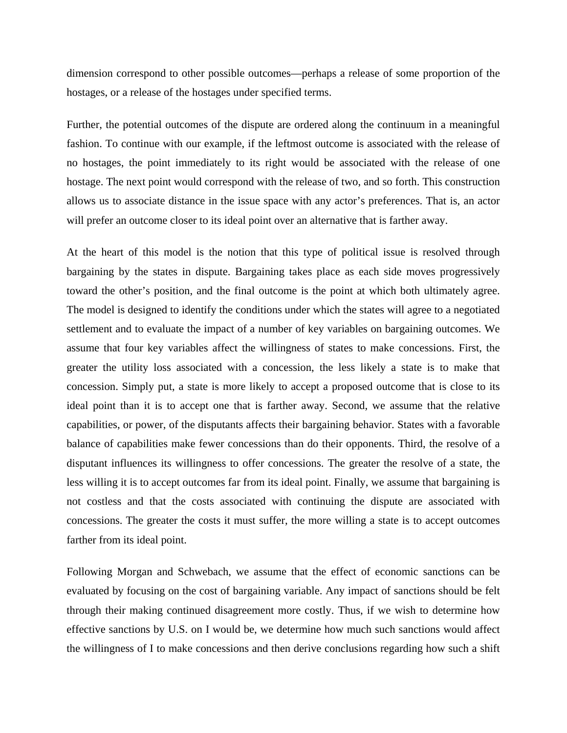dimension correspond to other possible outcomes—perhaps a release of some proportion of the hostages, or a release of the hostages under specified terms.

hostage. The next point would correspond with the release of two, and so forth. This construction Further, the potential outcomes of the dispute are ordered along the continuum in a meaningful fashion. To continue with our example, if the leftmost outcome is associated with the release of no hostages, the point immediately to its right would be associated with the release of one allows us to associate distance in the issue space with any actor's preferences. That is, an actor will prefer an outcome closer to its ideal point over an alternative that is farther away.

concession. Simply put, a state is more likely to accept a proposed outcome that is close to its ideal point than it is to accept one that is farther away. Second, we assume that the relative At the heart of this model is the notion that this type of political issue is resolved through bargaining by the states in dispute. Bargaining takes place as each side moves progressively toward the other's position, and the final outcome is the point at which both ultimately agree. The model is designed to identify the conditions under which the states will agree to a negotiated settlement and to evaluate the impact of a number of key variables on bargaining outcomes. We assume that four key variables affect the willingness of states to make concessions. First, the greater the utility loss associated with a concession, the less likely a state is to make that capabilities, or power, of the disputants affects their bargaining behavior. States with a favorable balance of capabilities make fewer concessions than do their opponents. Third, the resolve of a disputant influences its willingness to offer concessions. The greater the resolve of a state, the less willing it is to accept outcomes far from its ideal point. Finally, we assume that bargaining is not costless and that the costs associated with continuing the dispute are associated with concessions. The greater the costs it must suffer, the more willing a state is to accept outcomes farther from its ideal point.

the willingness of I to make concessions and then derive conclusions regarding how such a shift Following Morgan and Schwebach, we assume that the effect of economic sanctions can be evaluated by focusing on the cost of bargaining variable. Any impact of sanctions should be felt through their making continued disagreement more costly. Thus, if we wish to determine how effective sanctions by U.S. on I would be, we determine how much such sanctions would affect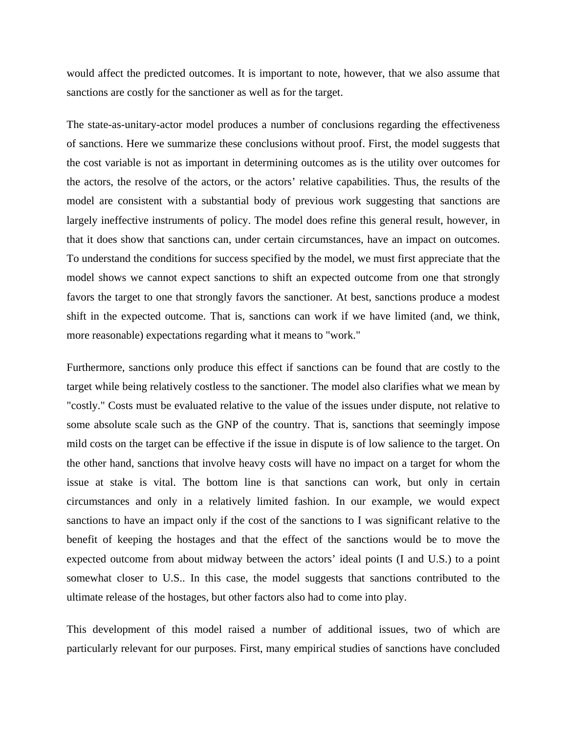would affect the predicted outcomes. It is important to note, however, that we also assume that sanctions are costly for the sanctioner as well as for the target.

largely ineffective instruments of policy. The model does refine this general result, however, in that it does show that sanctions can, under certain circumstances, have an impact on outcomes. The state-as-unitary-actor model produces a number of conclusions regarding the effectiveness of sanctions. Here we summarize these conclusions without proof. First, the model suggests that the cost variable is not as important in determining outcomes as is the utility over outcomes for the actors, the resolve of the actors, or the actors' relative capabilities. Thus, the results of the model are consistent with a substantial body of previous work suggesting that sanctions are To understand the conditions for success specified by the model, we must first appreciate that the model shows we cannot expect sanctions to shift an expected outcome from one that strongly favors the target to one that strongly favors the sanctioner. At best, sanctions produce a modest shift in the expected outcome. That is, sanctions can work if we have limited (and, we think, more reasonable) expectations regarding what it means to "work."

benefit of keeping the hostages and that the effect of the sanctions would be to move the expected outcome from about midway between the actors' ideal points (I and U.S.) to a point Furthermore, sanctions only produce this effect if sanctions can be found that are costly to the target while being relatively costless to the sanctioner. The model also clarifies what we mean by "costly." Costs must be evaluated relative to the value of the issues under dispute, not relative to some absolute scale such as the GNP of the country. That is, sanctions that seemingly impose mild costs on the target can be effective if the issue in dispute is of low salience to the target. On the other hand, sanctions that involve heavy costs will have no impact on a target for whom the issue at stake is vital. The bottom line is that sanctions can work, but only in certain circumstances and only in a relatively limited fashion. In our example, we would expect sanctions to have an impact only if the cost of the sanctions to I was significant relative to the somewhat closer to U.S.. In this case, the model suggests that sanctions contributed to the ultimate release of the hostages, but other factors also had to come into play.

This development of this model raised a number of additional issues, two of which are particularly relevant for our purposes. First, many empirical studies of sanctions have concluded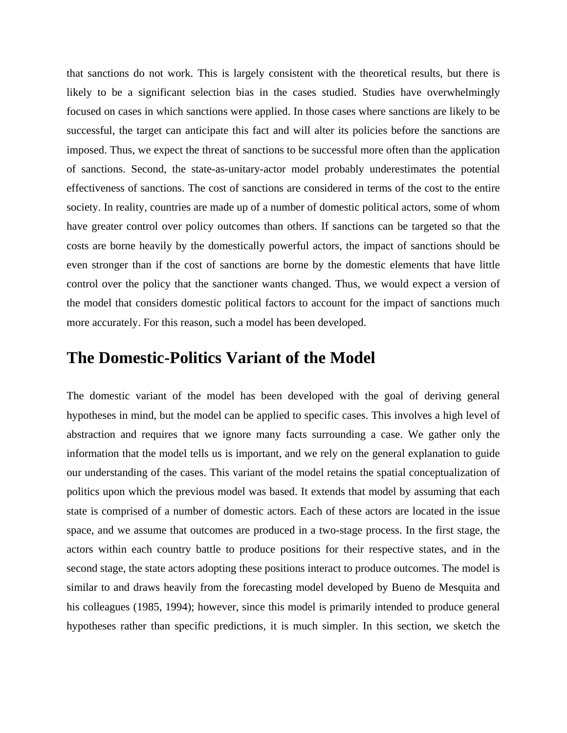that sanctions do not work. This is largely consistent with the theoretical results, but there is likely to be a significant selection bias in the cases studied. Studies have overwhelmingly focused on cases in which sanctions were applied. In those cases where sanctions are likely to be successful, the target can anticipate this fact and will alter its policies before the sanctions are imposed. Thus, we expect the threat of sanctions to be successful more often than the application of sanctions. Second, the state-as-unitary-actor model probably underestimates the potential effectiveness of sanctions. The cost of sanctions are considered in terms of the cost to the entire society. In reality, countries are made up of a number of domestic political actors, some of whom have greater control over policy outcomes than others. If sanctions can be targeted so that the costs are borne heavily by the domestically powerful actors, the impact of sanctions should be even stronger than if the cost of sanctions are borne by the domestic elements that have little control over the policy that the sanctioner wants changed. Thus, we would expect a version of the model that considers domestic political factors to account for the impact of sanctions much more accurately. For this reason, such a model has been developed.

#### **The Domestic-Politics Variant of the Model**

his colleagues (1985, 1994); however, since this model is primarily intended to produce general The domestic variant of the model has been developed with the goal of deriving general hypotheses in mind, but the model can be applied to specific cases. This involves a high level of abstraction and requires that we ignore many facts surrounding a case. We gather only the information that the model tells us is important, and we rely on the general explanation to guide our understanding of the cases. This variant of the model retains the spatial conceptualization of politics upon which the previous model was based. It extends that model by assuming that each state is comprised of a number of domestic actors. Each of these actors are located in the issue space, and we assume that outcomes are produced in a two-stage process. In the first stage, the actors within each country battle to produce positions for their respective states, and in the second stage, the state actors adopting these positions interact to produce outcomes. The model is similar to and draws heavily from the forecasting model developed by Bueno de Mesquita and hypotheses rather than specific predictions, it is much simpler. In this section, we sketch the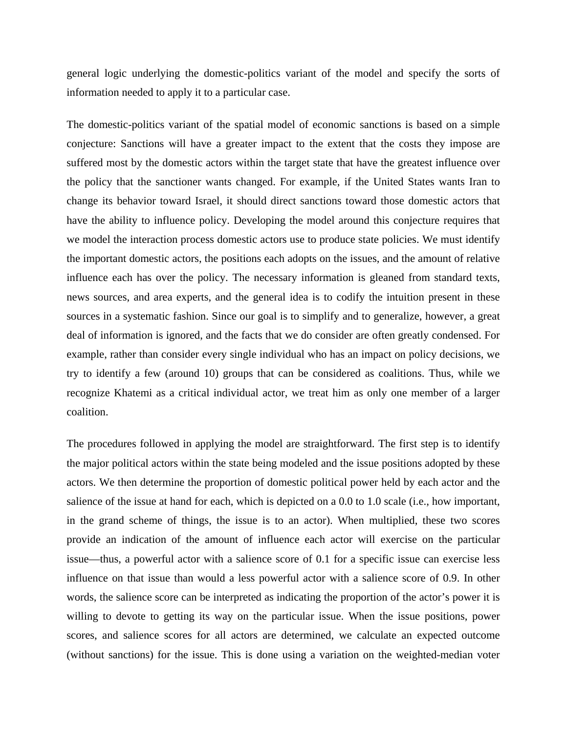general logic underlying the domestic-politics variant of the model and specify the sorts of information needed to apply it to a particular case.

The domestic-politics variant of the spatial model of economic sanctions is based on a simple conjecture: Sanctions will have a greater impact to the extent that the costs they impose are suffered most by the domestic actors within the target state that have the greatest influence over the policy that the sanctioner wants changed. For example, if the United States wants Iran to change its behavior toward Israel, it should direct sanctions toward those domestic actors that have the ability to influence policy. Developing the model around this conjecture requires that we model the interaction process domestic actors use to produce state policies. We must identify the important domestic actors, the positions each adopts on the issues, and the amount of relative influence each has over the policy. The necessary information is gleaned from standard texts, news sources, and area experts, and the general idea is to codify the intuition present in these sources in a systematic fashion. Since our goal is to simplify and to generalize, however, a great deal of information is ignored, and the facts that we do consider are often greatly condensed. For example, rather than consider every single individual who has an impact on policy decisions, we try to identify a few (around 10) groups that can be considered as coalitions. Thus, while we recognize Khatemi as a critical individual actor, we treat him as only one member of a larger coalition.

scores, and salience scores for all actors are determined, we calculate an expected outcome (without sanctions) for the issue. This is done using a variation on the weighted-median voter The procedures followed in applying the model are straightforward. The first step is to identify the major political actors within the state being modeled and the issue positions adopted by these actors. We then determine the proportion of domestic political power held by each actor and the salience of the issue at hand for each, which is depicted on a 0.0 to 1.0 scale (i.e., how important, in the grand scheme of things, the issue is to an actor). When multiplied, these two scores provide an indication of the amount of influence each actor will exercise on the particular issue—thus, a powerful actor with a salience score of 0.1 for a specific issue can exercise less influence on that issue than would a less powerful actor with a salience score of 0.9. In other words, the salience score can be interpreted as indicating the proportion of the actor's power it is willing to devote to getting its way on the particular issue. When the issue positions, power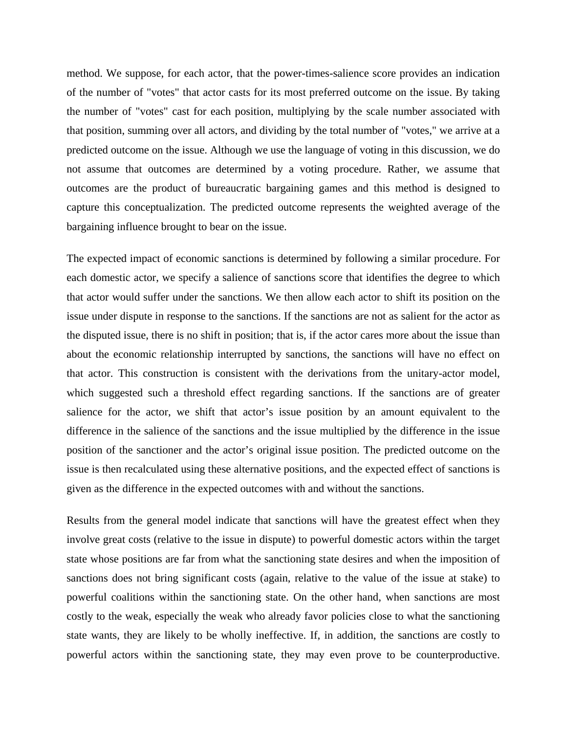method. We suppose, for each actor, that the power-times-salience score provides an indication of the number of "votes" that actor casts for its most preferred outcome on the issue. By taking the number of "votes" cast for each position, multiplying by the scale number associated with that position, summing over all actors, and dividing by the total number of "votes," we arrive at a predicted outcome on the issue. Although we use the language of voting in this discussion, we do not assume that outcomes are determined by a voting procedure. Rather, we assume that outcomes are the product of bureaucratic bargaining games and this method is designed to capture this conceptualization. The predicted outcome represents the weighted average of the bargaining influence brought to bear on the issue.

salience for the actor, we shift that actor's issue position by an amount equivalent to the difference in the salience of the sanctions and the issue multiplied by the difference in the issue The expected impact of economic sanctions is determined by following a similar procedure. For each domestic actor, we specify a salience of sanctions score that identifies the degree to which that actor would suffer under the sanctions. We then allow each actor to shift its position on the issue under dispute in response to the sanctions. If the sanctions are not as salient for the actor as the disputed issue, there is no shift in position; that is, if the actor cares more about the issue than about the economic relationship interrupted by sanctions, the sanctions will have no effect on that actor. This construction is consistent with the derivations from the unitary-actor model, which suggested such a threshold effect regarding sanctions. If the sanctions are of greater position of the sanctioner and the actor's original issue position. The predicted outcome on the issue is then recalculated using these alternative positions, and the expected effect of sanctions is given as the difference in the expected outcomes with and without the sanctions.

Results from the general model indicate that sanctions will have the greatest effect when they involve great costs (relative to the issue in dispute) to powerful domestic actors within the target state whose positions are far from what the sanctioning state desires and when the imposition of sanctions does not bring significant costs (again, relative to the value of the issue at stake) to powerful coalitions within the sanctioning state. On the other hand, when sanctions are most costly to the weak, especially the weak who already favor policies close to what the sanctioning state wants, they are likely to be wholly ineffective. If, in addition, the sanctions are costly to powerful actors within the sanctioning state, they may even prove to be counterproductive.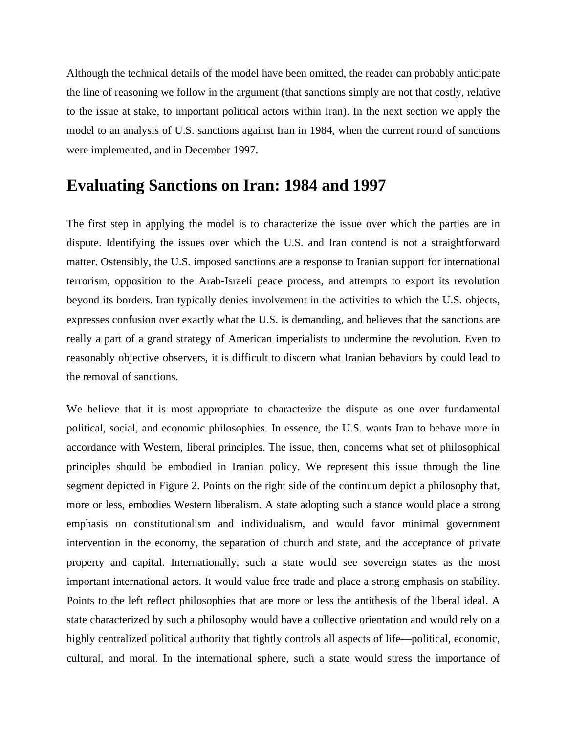Although the technical details of the model have been omitted, the reader can probably anticipate the line of reasoning we follow in the argument (that sanctions simply are not that costly, relative to the issue at stake, to important political actors within Iran). In the next section we apply the model to an analysis of U.S. sanctions against Iran in 1984, when the current round of sanctions were implemented, and in December 1997.

#### **Evaluating Sanctions on Iran: 1984 and 1997**

The first step in applying the model is to characterize the issue over which the parties are in dispute. Identifying the issues over which the U.S. and Iran contend is not a straightforward matter. Ostensibly, the U.S. imposed sanctions are a response to Iranian support for international terrorism, opposition to the Arab-Israeli peace process, and attempts to export its revolution beyond its borders. Iran typically denies involvement in the activities to which the U.S. objects, expresses confusion over exactly what the U.S. is demanding, and believes that the sanctions are really a part of a grand strategy of American imperialists to undermine the revolution. Even to reasonably objective observers, it is difficult to discern what Iranian behaviors by could lead to the removal of sanctions.

segment depicted in Figure 2. Points on the right side of the continuum depict a philosophy that, more or less, embodies Western liberalism. A state adopting such a stance would place a strong We believe that it is most appropriate to characterize the dispute as one over fundamental political, social, and economic philosophies. In essence, the U.S. wants Iran to behave more in accordance with Western, liberal principles. The issue, then, concerns what set of philosophical principles should be embodied in Iranian policy. We represent this issue through the line emphasis on constitutionalism and individualism, and would favor minimal government intervention in the economy, the separation of church and state, and the acceptance of private property and capital. Internationally, such a state would see sovereign states as the most important international actors. It would value free trade and place a strong emphasis on stability. Points to the left reflect philosophies that are more or less the antithesis of the liberal ideal. A state characterized by such a philosophy would have a collective orientation and would rely on a highly centralized political authority that tightly controls all aspects of life—political, economic, cultural, and moral. In the international sphere, such a state would stress the importance of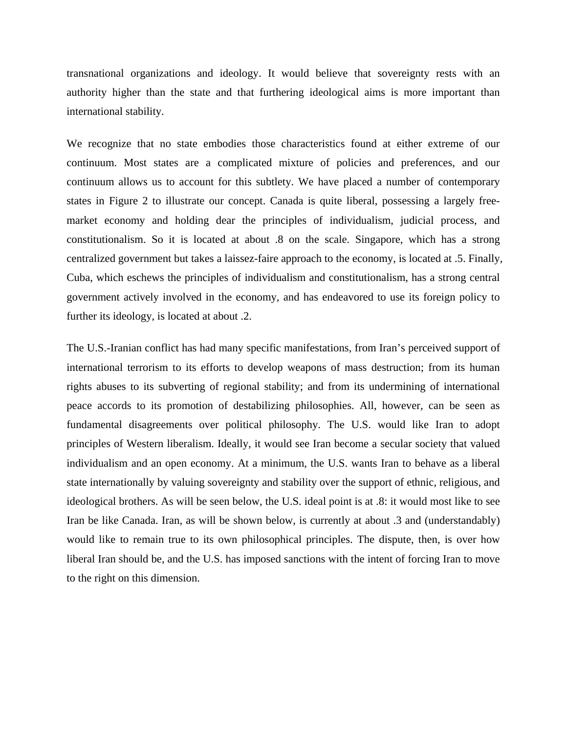transnational organizations and ideology. It would believe that sovereignty rests with an authority higher than the state and that furthering ideological aims is more important than international stability.

We recognize that no state embodies those characteristics found at either extreme of our continuum. Most states are a complicated mixture of policies and preferences, and our continuum allows us to account for this subtlety. We have placed a number of contemporary states in Figure 2 to illustrate our concept. Canada is quite liberal, possessing a largely freemarket economy and holding dear the principles of individualism, judicial process, and constitutionalism. So it is located at about .8 on the scale. Singapore, which has a strong centralized government but takes a laissez-faire approach to the economy, is located at .5. Finally, Cuba, which eschews the principles of individualism and constitutionalism, has a strong central government actively involved in the economy, and has endeavored to use its foreign policy to further its ideology, is located at about .2.

rights abuses to its subverting of regional stability; and from its undermining of international The U.S.-Iranian conflict has had many specific manifestations, from Iran's perceived support of international terrorism to its efforts to develop weapons of mass destruction; from its human peace accords to its promotion of destabilizing philosophies. All, however, can be seen as fundamental disagreements over political philosophy. The U.S. would like Iran to adopt principles of Western liberalism. Ideally, it would see Iran become a secular society that valued individualism and an open economy. At a minimum, the U.S. wants Iran to behave as a liberal state internationally by valuing sovereignty and stability over the support of ethnic, religious, and ideological brothers. As will be seen below, the U.S. ideal point is at .8: it would most like to see Iran be like Canada. Iran, as will be shown below, is currently at about .3 and (understandably) would like to remain true to its own philosophical principles. The dispute, then, is over how liberal Iran should be, and the U.S. has imposed sanctions with the intent of forcing Iran to move to the right on this dimension.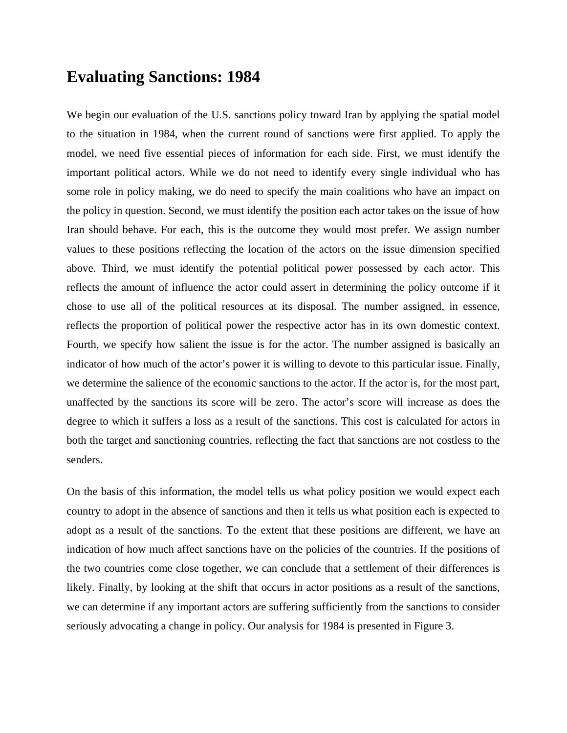#### **Evaluating Sanctions: 1984**

We begin our evaluation of the U.S. sanctions policy toward Iran by applying the spatial model to the situation in 1984, when the current round of sanctions were first applied. To apply the reflects the proportion of political power the respective actor has in its own domestic context. model, we need five essential pieces of information for each side. First, we must identify the important political actors. While we do not need to identify every single individual who has some role in policy making, we do need to specify the main coalitions who have an impact on the policy in question. Second, we must identify the position each actor takes on the issue of how Iran should behave. For each, this is the outcome they would most prefer. We assign number values to these positions reflecting the location of the actors on the issue dimension specified above. Third, we must identify the potential political power possessed by each actor. This reflects the amount of influence the actor could assert in determining the policy outcome if it chose to use all of the political resources at its disposal. The number assigned, in essence, Fourth, we specify how salient the issue is for the actor. The number assigned is basically an indicator of how much of the actor's power it is willing to devote to this particular issue. Finally, we determine the salience of the economic sanctions to the actor. If the actor is, for the most part, unaffected by the sanctions its score will be zero. The actor's score will increase as does the degree to which it suffers a loss as a result of the sanctions. This cost is calculated for actors in both the target and sanctioning countries, reflecting the fact that sanctions are not costless to the senders.

likely. Finally, by looking at the shift that occurs in actor positions as a result of the sanctions, we can determine if any important actors are suffering sufficiently from the sanctions to consider seriously advocating a change in policy. Our analysis for 1984 is presented in Figure 3. On the basis of this information, the model tells us what policy position we would expect each country to adopt in the absence of sanctions and then it tells us what position each is expected to adopt as a result of the sanctions. To the extent that these positions are different, we have an indication of how much affect sanctions have on the policies of the countries. If the positions of the two countries come close together, we can conclude that a settlement of their differences is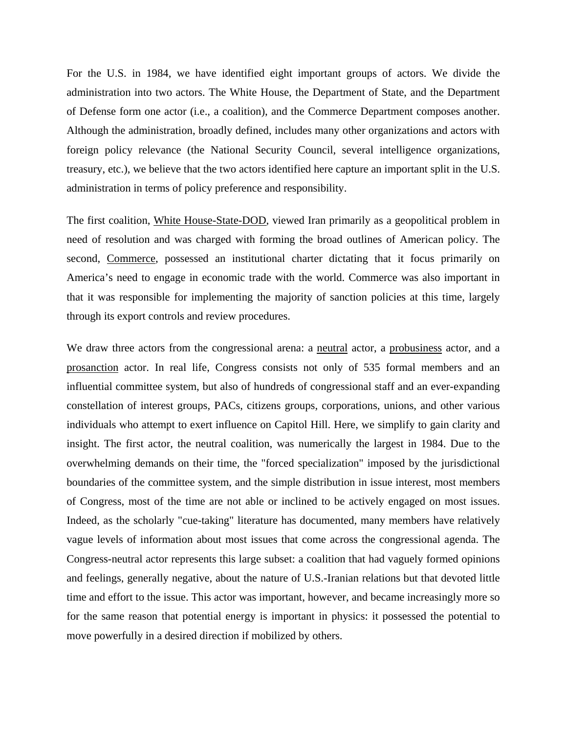For the U.S. in 1984, we have identified eight important groups of actors. We divide the administration into two actors. The White House, the Department of State, and the Department of Defense form one actor (i.e., a coalition), and the Commerce Department composes another. Although the administration, broadly defined, includes many other organizations and actors with foreign policy relevance (the National Security Council, several intelligence organizations, treasury, etc.), we believe that the two actors identified here capture an important split in the U.S. administration in terms of policy preference and responsibility.

The first coalition, White House-State-DOD, viewed Iran primarily as a geopolitical problem in need of resolution and was charged with forming the broad outlines of American policy. The second, Commerce, possessed an institutional charter dictating that it focus primarily on America's need to engage in economic trade with the world. Commerce was also important in that it was responsible for implementing the majority of sanction policies at this time, largely through its export controls and review procedures.

We draw three actors from the congressional arena: a neutral actor, a probusiness actor, and a prosanction actor. In real life, Congress consists not only of 535 formal members and an influential committee system, but also of hundreds of congressional staff and an ever-expanding constellation of interest groups, PACs, citizens groups, corporations, unions, and other various individuals who attempt to exert influence on Capitol Hill. Here, we simplify to gain clarity and insight. The first actor, the neutral coalition, was numerically the largest in 1984. Due to the overwhelming demands on their time, the "forced specialization" imposed by the jurisdictional boundaries of the committee system, and the simple distribution in issue interest, most members move powerfully in a desired direction if mobilized by others. of Congress, most of the time are not able or inclined to be actively engaged on most issues. Indeed, as the scholarly "cue-taking" literature has documented, many members have relatively vague levels of information about most issues that come across the congressional agenda. The Congress-neutral actor represents this large subset: a coalition that had vaguely formed opinions and feelings, generally negative, about the nature of U.S.-Iranian relations but that devoted little time and effort to the issue. This actor was important, however, and became increasingly more so for the same reason that potential energy is important in physics: it possessed the potential to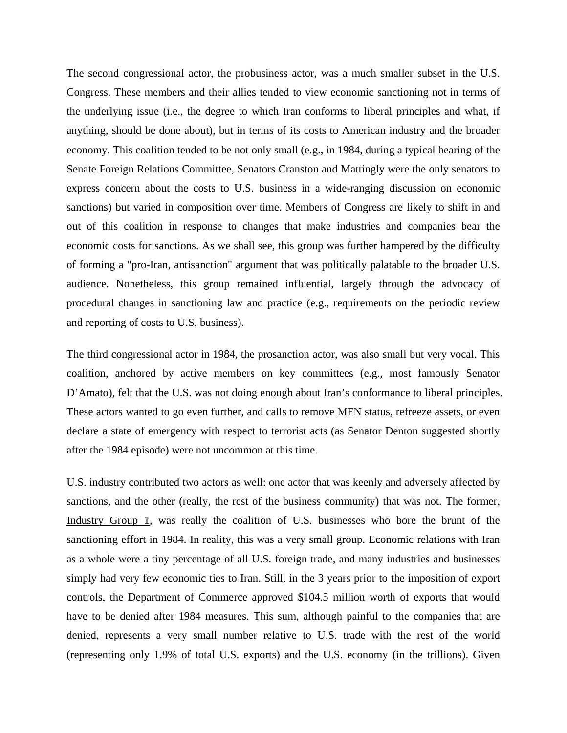The second congressional actor, the probusiness actor, was a much smaller subset in the U.S. Congress. These members and their allies tended to view economic sanctioning not in terms of the underlying issue (i.e., the degree to which Iran conforms to liberal principles and what, if anything, should be done about), but in terms of its costs to American industry and the broader economy. This coalition tended to be not only small (e.g., in 1984, during a typical hearing of the Senate Foreign Relations Committee, Senators Cranston and Mattingly were the only senators to express concern about the costs to U.S. business in a wide-ranging discussion on economic sanctions) but varied in composition over time. Members of Congress are likely to shift in and out of this coalition in response to changes that make industries and companies bear the economic costs for sanctions. As we shall see, this group was further hampered by the difficulty of forming a "pro-Iran, antisanction" argument that was politically palatable to the broader U.S. audience. Nonetheless, this group remained influential, largely through the advocacy of procedural changes in sanctioning law and practice (e.g., requirements on the periodic review and reporting of costs to U.S. business).

The third congressional actor in 1984, the prosanction actor, was also small but very vocal. This coalition, anchored by active members on key committees (e.g., most famously Senator D'Amato), felt that the U.S. was not doing enough about Iran's conformance to liberal principles. These actors wanted to go even further, and calls to remove MFN status, refreeze assets, or even declare a state of emergency with respect to terrorist acts (as Senator Denton suggested shortly after the 1984 episode) were not uncommon at this time.

U.S. industry contributed two actors as well: one actor that was keenly and adversely affected by sanctions, and the other (really, the rest of the business community) that was not. The former, Industry Group 1, was really the coalition of U.S. businesses who bore the brunt of the sanctioning effort in 1984. In reality, this was a very small group. Economic relations with Iran as a whole were a tiny percentage of all U.S. foreign trade, and many industries and businesses simply had very few economic ties to Iran. Still, in the 3 years prior to the imposition of export controls, the Department of Commerce approved \$104.5 million worth of exports that would have to be denied after 1984 measures. This sum, although painful to the companies that are denied, represents a very small number relative to U.S. trade with the rest of the world (representing only 1.9% of total U.S. exports) and the U.S. economy (in the trillions). Given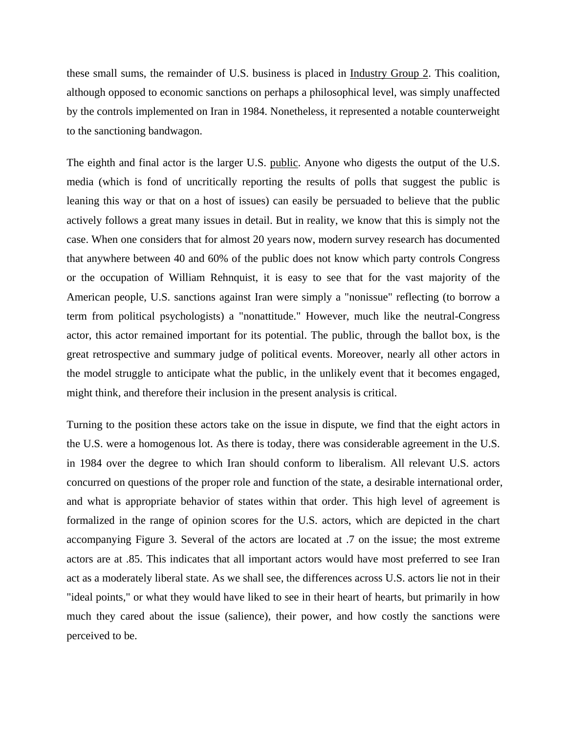these small sums, the remainder of U.S. business is placed in Industry Group 2. This coalition, although opposed to economic sanctions on perhaps a philosophical level, was simply unaffected by the controls implemented on Iran in 1984. Nonetheless, it represented a notable counterweight to the sanctioning bandwagon.

The eighth and final actor is the larger U.S. public. Anyone who digests the output of the U.S. media (which is fond of uncritically reporting the results of polls that suggest the public is leaning this way or that on a host of issues) can easily be persuaded to believe that the public actively follows a great many issues in detail. But in reality, we know that this is simply not the case. When one considers that for almost 20 years now, modern survey research has documented that anywhere between 40 and 60% of the public does not know which party controls Congress or the occupation of William Rehnquist, it is easy to see that for the vast majority of the American people, U.S. sanctions against Iran were simply a "nonissue" reflecting (to borrow a term from political psychologists) a "nonattitude." However, much like the neutral-Congress actor, this actor remained important for its potential. The public, through the ballot box, is the great retrospective and summary judge of political events. Moreover, nearly all other actors in the model struggle to anticipate what the public, in the unlikely event that it becomes engaged, might think, and therefore their inclusion in the present analysis is critical.

the U.S. were a homogenous lot. As there is today, there was considerable agreement in the U.S. in 1984 over the degree to which Iran should conform to liberalism. All relevant U.S. actors Turning to the position these actors take on the issue in dispute, we find that the eight actors in concurred on questions of the proper role and function of the state, a desirable international order, and what is appropriate behavior of states within that order. This high level of agreement is formalized in the range of opinion scores for the U.S. actors, which are depicted in the chart accompanying Figure 3. Several of the actors are located at .7 on the issue; the most extreme actors are at .85. This indicates that all important actors would have most preferred to see Iran act as a moderately liberal state. As we shall see, the differences across U.S. actors lie not in their "ideal points," or what they would have liked to see in their heart of hearts, but primarily in how much they cared about the issue (salience), their power, and how costly the sanctions were perceived to be.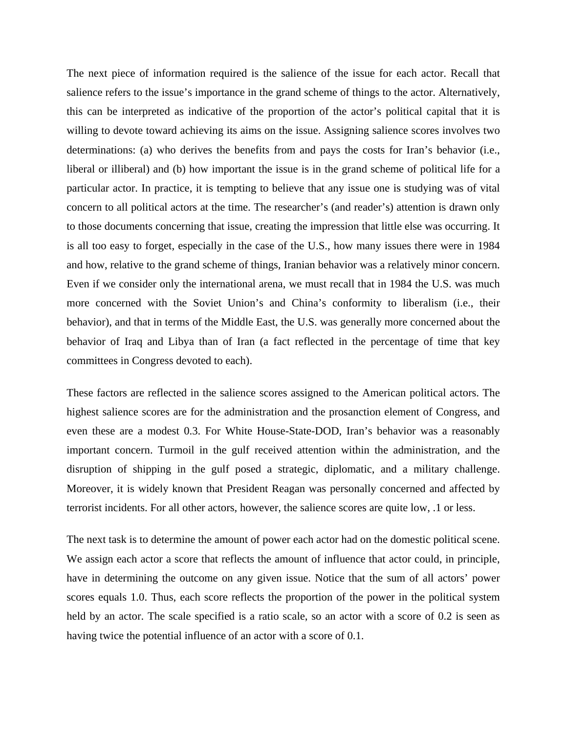The next piece of information required is the salience of the issue for each actor. Recall that salience refers to the issue's importance in the grand scheme of things to the actor. Alternatively, this can be interpreted as indicative of the proportion of the actor's political capital that it is willing to devote toward achieving its aims on the issue. Assigning salience scores involves two determinations: (a) who derives the benefits from and pays the costs for Iran's behavior (i.e., liberal or illiberal) and (b) how important the issue is in the grand scheme of political life for a particular actor. In practice, it is tempting to believe that any issue one is studying was of vital concern to all political actors at the time. The researcher's (and reader's) attention is drawn only to those documents concerning that issue, creating the impression that little else was occurring. It is all too easy to forget, especially in the case of the U.S., how many issues there were in 1984 and how, relative to the grand scheme of things, Iranian behavior was a relatively minor concern. Even if we consider only the international arena, we must recall that in 1984 the U.S. was much more concerned with the Soviet Union's and China's conformity to liberalism (i.e., their behavior), and that in terms of the Middle East, the U.S. was generally more concerned about the behavior of Iraq and Libya than of Iran (a fact reflected in the percentage of time that key committees in Congress devoted to each).

These factors are reflected in the salience scores assigned to the American political actors. The highest salience scores are for the administration and the prosanction element of Congress, and even these are a modest 0.3. For White House-State-DOD, Iran's behavior was a reasonably important concern. Turmoil in the gulf received attention within the administration, and the disruption of shipping in the gulf posed a strategic, diplomatic, and a military challenge. Moreover, it is widely known that President Reagan was personally concerned and affected by terrorist incidents. For all other actors, however, the salience scores are quite low, .1 or less.

having twice the potential influence of an actor with a score of 0.1. The next task is to determine the amount of power each actor had on the domestic political scene. We assign each actor a score that reflects the amount of influence that actor could, in principle, have in determining the outcome on any given issue. Notice that the sum of all actors' power scores equals 1.0. Thus, each score reflects the proportion of the power in the political system held by an actor. The scale specified is a ratio scale, so an actor with a score of 0.2 is seen as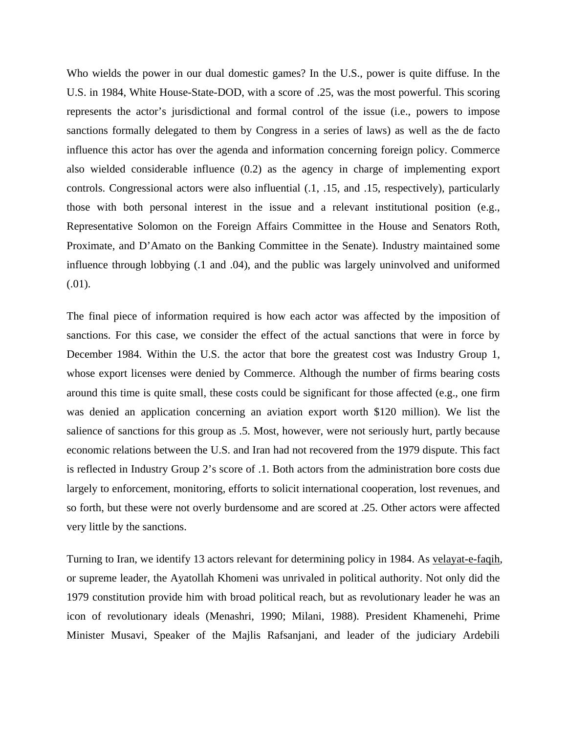Who wields the power in our dual domestic games? In the U.S., power is quite diffuse. In the U.S. in 1984, White House-State-DOD, with a score of .25, was the most powerful. This scoring represents the actor's jurisdictional and formal control of the issue (i.e., powers to impose sanctions formally delegated to them by Congress in a series of laws) as well as the de facto influence this actor has over the agenda and information concerning foreign policy. Commerce also wielded considerable influence (0.2) as the agency in charge of implementing export controls. Congressional actors were also influential (.1, .15, and .15, respectively), particularly those with both personal interest in the issue and a relevant institutional position (e.g., Representative Solomon on the Foreign Affairs Committee in the House and Senators Roth, Proximate, and D'Amato on the Banking Committee in the Senate). Industry maintained some influence through lobbying (.1 and .04), and the public was largely uninvolved and uniformed (.01).

The final piece of information required is how each actor was affected by the imposition of sanctions. For this case, we consider the effect of the actual sanctions that were in force by December 1984. Within the U.S. the actor that bore the greatest cost was Industry Group 1, whose export licenses were denied by Commerce. Although the number of firms bearing costs so forth, but these were not overly burdensome and are scored at .25. Other actors were affected very little by the sanctions. around this time is quite small, these costs could be significant for those affected (e.g., one firm was denied an application concerning an aviation export worth \$120 million). We list the salience of sanctions for this group as .5. Most, however, were not seriously hurt, partly because economic relations between the U.S. and Iran had not recovered from the 1979 dispute. This fact is reflected in Industry Group 2's score of .1. Both actors from the administration bore costs due largely to enforcement, monitoring, efforts to solicit international cooperation, lost revenues, and

Turning to Iran, we identify 13 actors relevant for determining policy in 1984. As velayat-e-faqih, or supreme leader, the Ayatollah Khomeni was unrivaled in political authority. Not only did the 1979 constitution provide him with broad political reach, but as revolutionary leader he was an icon of revolutionary ideals (Menashri, 1990; Milani, 1988). President Khamenehi, Prime Minister Musavi, Speaker of the Majlis Rafsanjani, and leader of the judiciary Ardebili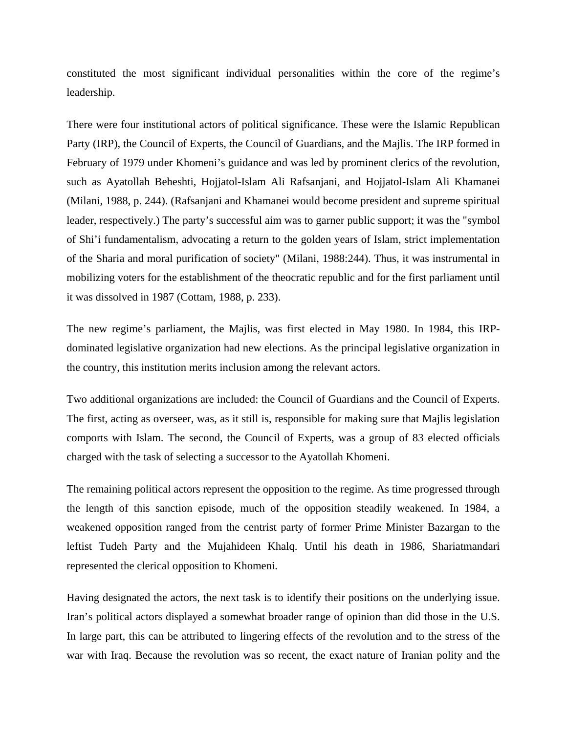constituted the most significant individual personalities within the core of the regime's leadership.

There were four institutional actors of political significance. These were the Islamic Republican Party (IRP), the Council of Experts, the Council of Guardians, and the Majlis. The IRP formed in February of 1979 under Khomeni's guidance and was led by prominent clerics of the revolution, such as Ayatollah Beheshti, Hojjatol-Islam Ali Rafsanjani, and Hojjatol-Islam Ali Khamanei (Milani, 1988, p. 244). (Rafsanjani and Khamanei would become president and supreme spiritual leader, respectively.) The party's successful aim was to garner public support; it was the "symbol of Shi'i fundamentalism, advocating a return to the golden years of Islam, strict implementation of the Sharia and moral purification of society" (Milani, 1988:244). Thus, it was instrumental in mobilizing voters for the establishment of the theocratic republic and for the first parliament until it was dissolved in 1987 (Cottam, 1988, p. 233).

The new regime's parliament, the Majlis, was first elected in May 1980. In 1984, this IRPdominated legislative organization had new elections. As the principal legislative organization in the country, this institution merits inclusion among the relevant actors.

Two additional organizations are included: the Council of Guardians and the Council of Experts. The first, acting as overseer, was, as it still is, responsible for making sure that Majlis legislation comports with Islam. The second, the Council of Experts, was a group of 83 elected officials charged with the task of selecting a successor to the Ayatollah Khomeni.

weakened opposition ranged from the centrist party of former Prime Minister Bazargan to the leftist Tudeh Party and the Mujahideen Khalq. Until his death in 1986, Shariatmandari The remaining political actors represent the opposition to the regime. As time progressed through the length of this sanction episode, much of the opposition steadily weakened. In 1984, a represented the clerical opposition to Khomeni.

war with Iraq. Because the revolution was so recent, the exact nature of Iranian polity and the Having designated the actors, the next task is to identify their positions on the underlying issue. Iran's political actors displayed a somewhat broader range of opinion than did those in the U.S. In large part, this can be attributed to lingering effects of the revolution and to the stress of the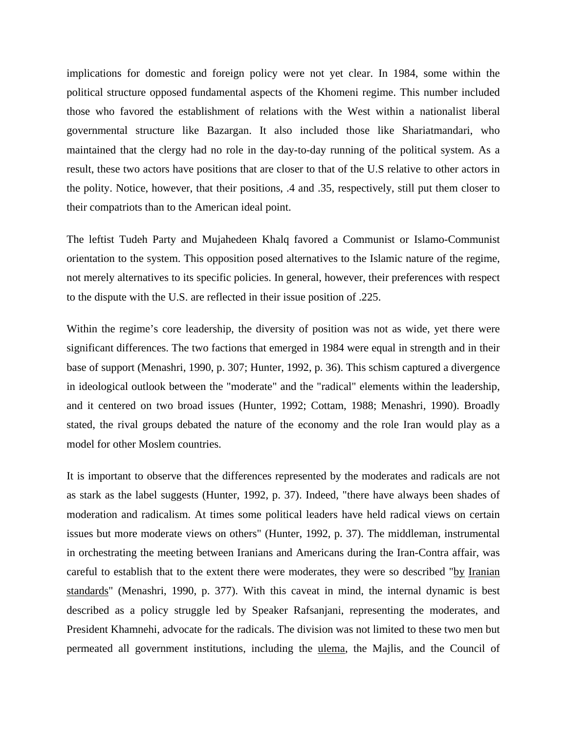implications for domestic and foreign policy were not yet clear. In 1984, some within the political structure opposed fundamental aspects of the Khomeni regime. This number included those who favored the establishment of relations with the West within a nationalist liberal governmental structure like Bazargan. It also included those like Shariatmandari, who maintained that the clergy had no role in the day-to-day running of the political system. As a result, these two actors have positions that are closer to that of the U.S relative to other actors in the polity. Notice, however, that their positions, .4 and .35, respectively, still put them closer to their compatriots than to the American ideal point.

to the dispute with the U.S. are reflected in their issue position of .225. The leftist Tudeh Party and Mujahedeen Khalq favored a Communist or Islamo-Communist orientation to the system. This opposition posed alternatives to the Islamic nature of the regime, not merely alternatives to its specific policies. In general, however, their preferences with respect

base of support (Menashri, 1990, p. 307; Hunter, 1992, p. 36). This schism captured a divergence in ideological outlook between the "moderate" and the "radical" elements within the leadership, Within the regime's core leadership, the diversity of position was not as wide, yet there were significant differences. The two factions that emerged in 1984 were equal in strength and in their and it centered on two broad issues (Hunter, 1992; Cottam, 1988; Menashri, 1990). Broadly stated, the rival groups debated the nature of the economy and the role Iran would play as a model for other Moslem countries.

It is important to observe that the differences represented by the moderates and radicals are not careful to establish that to the extent there were moderates, they were so described "by Iranian as stark as the label suggests (Hunter, 1992, p. 37). Indeed, "there have always been shades of moderation and radicalism. At times some political leaders have held radical views on certain issues but more moderate views on others" (Hunter, 1992, p. 37). The middleman, instrumental in orchestrating the meeting between Iranians and Americans during the Iran-Contra affair, was standards" (Menashri, 1990, p. 377). With this caveat in mind, the internal dynamic is best described as a policy struggle led by Speaker Rafsanjani, representing the moderates, and President Khamnehi, advocate for the radicals. The division was not limited to these two men but permeated all government institutions, including the ulema, the Majlis, and the Council of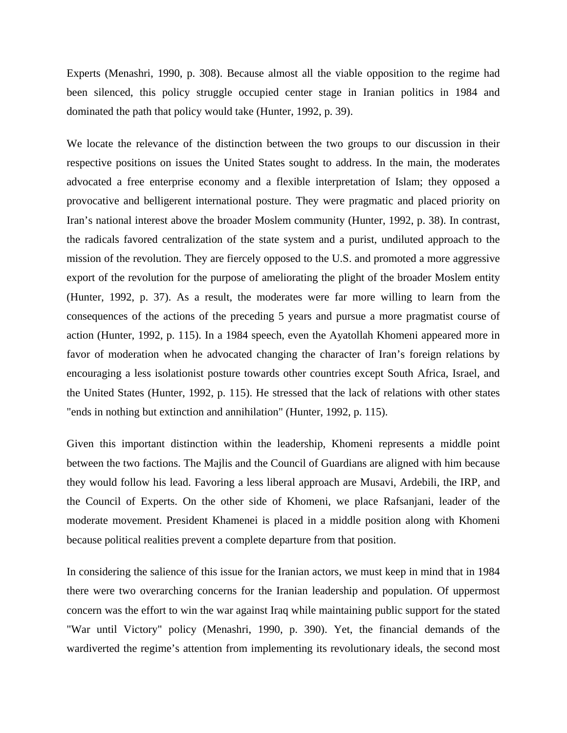Experts (Menashri, 1990, p. 308). Because almost all the viable opposition to the regime had been silenced, this policy struggle occupied center stage in Iranian politics in 1984 and dominated the path that policy would take (Hunter, 1992, p. 39).

We locate the relevance of the distinction between the two groups to our discussion in their respective positions on issues the United States sought to address. In the main, the moderates advocated a free enterprise economy and a flexible interpretation of Islam; they opposed a provocative and belligerent international posture. They were pragmatic and placed priority on Iran's national interest above the broader Moslem community (Hunter, 1992, p. 38). In contrast, (Hunter, 1992, p. 37). As a result, the moderates were far more willing to learn from the consequences of the actions of the preceding 5 years and pursue a more pragmatist course of the radicals favored centralization of the state system and a purist, undiluted approach to the mission of the revolution. They are fiercely opposed to the U.S. and promoted a more aggressive export of the revolution for the purpose of ameliorating the plight of the broader Moslem entity action (Hunter, 1992, p. 115). In a 1984 speech, even the Ayatollah Khomeni appeared more in favor of moderation when he advocated changing the character of Iran's foreign relations by encouraging a less isolationist posture towards other countries except South Africa, Israel, and the United States (Hunter, 1992, p. 115). He stressed that the lack of relations with other states "ends in nothing but extinction and annihilation" (Hunter, 1992, p. 115).

Given this important distinction within the leadership, Khomeni represents a middle point between the two factions. The Majlis and the Council of Guardians are aligned with him because they would follow his lead. Favoring a less liberal approach are Musavi, Ardebili, the IRP, and the Council of Experts. On the other side of Khomeni, we place Rafsanjani, leader of the moderate movement. President Khamenei is placed in a middle position along with Khomeni because political realities prevent a complete departure from that position.

In considering the salience of this issue for the Iranian actors, we must keep in mind that in 1984 there were two overarching concerns for the Iranian leadership and population. Of uppermost concern was the effort to win the war against Iraq while maintaining public support for the stated "War until Victory" policy (Menashri, 1990, p. 390). Yet, the financial demands of the wardiverted the regime's attention from implementing its revolutionary ideals, the second most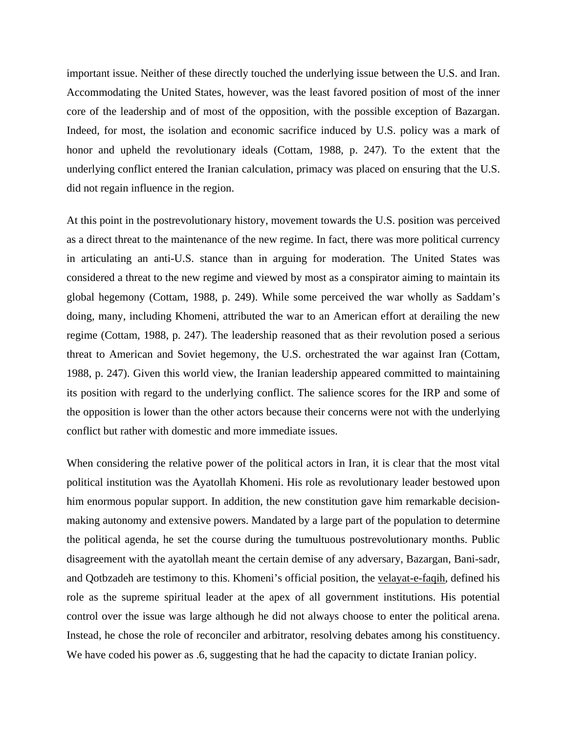important issue. Neither of these directly touched the underlying issue between the U.S. and Iran. Accommodating the United States, however, was the least favored position of most of the inner core of the leadership and of most of the opposition, with the possible exception of Bazargan. Indeed, for most, the isolation and economic sacrifice induced by U.S. policy was a mark of honor and upheld the revolutionary ideals (Cottam, 1988, p. 247). To the extent that the underlying conflict entered the Iranian calculation, primacy was placed on ensuring that the U.S. did not regain influence in the region.

the opposition is lower than the other actors because their concerns were not with the underlying conflict but rather with domestic and more immediate issues. At this point in the postrevolutionary history, movement towards the U.S. position was perceived as a direct threat to the maintenance of the new regime. In fact, there was more political currency in articulating an anti-U.S. stance than in arguing for moderation. The United States was considered a threat to the new regime and viewed by most as a conspirator aiming to maintain its global hegemony (Cottam, 1988, p. 249). While some perceived the war wholly as Saddam's doing, many, including Khomeni, attributed the war to an American effort at derailing the new regime (Cottam, 1988, p. 247). The leadership reasoned that as their revolution posed a serious threat to American and Soviet hegemony, the U.S. orchestrated the war against Iran (Cottam, 1988, p. 247). Given this world view, the Iranian leadership appeared committed to maintaining its position with regard to the underlying conflict. The salience scores for the IRP and some of

the political agenda, he set the course during the tumultuous postrevolutionary months. Public disagreement with the ayatollah meant the certain demise of any adversary, Bazargan, Bani-sadr, When considering the relative power of the political actors in Iran, it is clear that the most vital political institution was the Ayatollah Khomeni. His role as revolutionary leader bestowed upon him enormous popular support. In addition, the new constitution gave him remarkable decisionmaking autonomy and extensive powers. Mandated by a large part of the population to determine and Qotbzadeh are testimony to this. Khomeni's official position, the velayat-e-faqih, defined his role as the supreme spiritual leader at the apex of all government institutions. His potential control over the issue was large although he did not always choose to enter the political arena. Instead, he chose the role of reconciler and arbitrator, resolving debates among his constituency. We have coded his power as .6, suggesting that he had the capacity to dictate Iranian policy.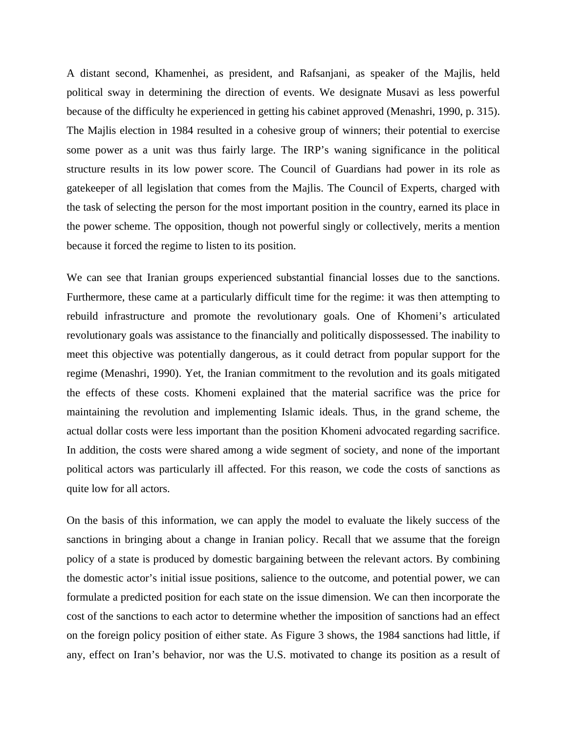A distant second, Khamenhei, as president, and Rafsanjani, as speaker of the Majlis, held political sway in determining the direction of events. We designate Musavi as less powerful because of the difficulty he experienced in getting his cabinet approved (Menashri, 1990, p. 315). The Majlis election in 1984 resulted in a cohesive group of winners; their potential to exercise some power as a unit was thus fairly large. The IRP's waning significance in the political structure results in its low power score. The Council of Guardians had power in its role as gatekeeper of all legislation that comes from the Majlis. The Council of Experts, charged with the task of selecting the person for the most important position in the country, earned its place in the power scheme. The opposition, though not powerful singly or collectively, merits a mention because it forced the regime to listen to its position.

actual dollar costs were less important than the position Khomeni advocated regarding sacrifice. In addition, the costs were shared among a wide segment of society, and none of the important We can see that Iranian groups experienced substantial financial losses due to the sanctions. Furthermore, these came at a particularly difficult time for the regime: it was then attempting to rebuild infrastructure and promote the revolutionary goals. One of Khomeni's articulated revolutionary goals was assistance to the financially and politically dispossessed. The inability to meet this objective was potentially dangerous, as it could detract from popular support for the regime (Menashri, 1990). Yet, the Iranian commitment to the revolution and its goals mitigated the effects of these costs. Khomeni explained that the material sacrifice was the price for maintaining the revolution and implementing Islamic ideals. Thus, in the grand scheme, the political actors was particularly ill affected. For this reason, we code the costs of sanctions as quite low for all actors.

any, effect on Iran's behavior, nor was the U.S. motivated to change its position as a result of On the basis of this information, we can apply the model to evaluate the likely success of the sanctions in bringing about a change in Iranian policy. Recall that we assume that the foreign policy of a state is produced by domestic bargaining between the relevant actors. By combining the domestic actor's initial issue positions, salience to the outcome, and potential power, we can formulate a predicted position for each state on the issue dimension. We can then incorporate the cost of the sanctions to each actor to determine whether the imposition of sanctions had an effect on the foreign policy position of either state. As Figure 3 shows, the 1984 sanctions had little, if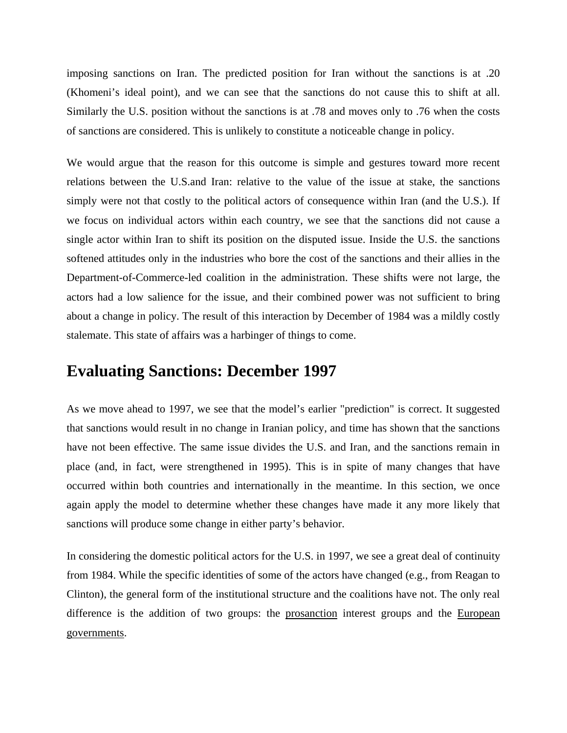imposing sanctions on Iran. The predicted position for Iran without the sanctions is at .20 (Khomeni's ideal point), and we can see that the sanctions do not cause this to shift at all. Similarly the U.S. position without the sanctions is at .78 and moves only to .76 when the costs of sanctions are considered. This is unlikely to constitute a noticeable change in policy.

We would argue that the reason for this outcome is simple and gestures toward more recent relations between the U.S.and Iran: relative to the value of the issue at stake, the sanctions simply were not that costly to the political actors of consequence within Iran (and the U.S.). If we focus on individual actors within each country, we see that the sanctions did not cause a single actor within Iran to shift its position on the disputed issue. Inside the U.S. the sanctions softened attitudes only in the industries who bore the cost of the sanctions and their allies in the Department-of-Commerce-led coalition in the administration. These shifts were not large, the actors had a low salience for the issue, and their combined power was not sufficient to bring about a change in policy. The result of this interaction by December of 1984 was a mildly costly stalemate. This state of affairs was a harbinger of things to come.

#### **Evaluating Sanctions: December 1997**

occurred within both countries and internationally in the meantime. In this section, we once again apply the model to determine whether these changes have made it any more likely that As we move ahead to 1997, we see that the model's earlier "prediction" is correct. It suggested that sanctions would result in no change in Iranian policy, and time has shown that the sanctions have not been effective. The same issue divides the U.S. and Iran, and the sanctions remain in place (and, in fact, were strengthened in 1995). This is in spite of many changes that have sanctions will produce some change in either party's behavior.

In considering the domestic political actors for the U.S. in 1997, we see a great deal of continuity from 1984. While the specific identities of some of the actors have changed (e.g., from Reagan to Clinton), the general form of the institutional structure and the coalitions have not. The only real difference is the addition of two groups: the prosanction interest groups and the European governments.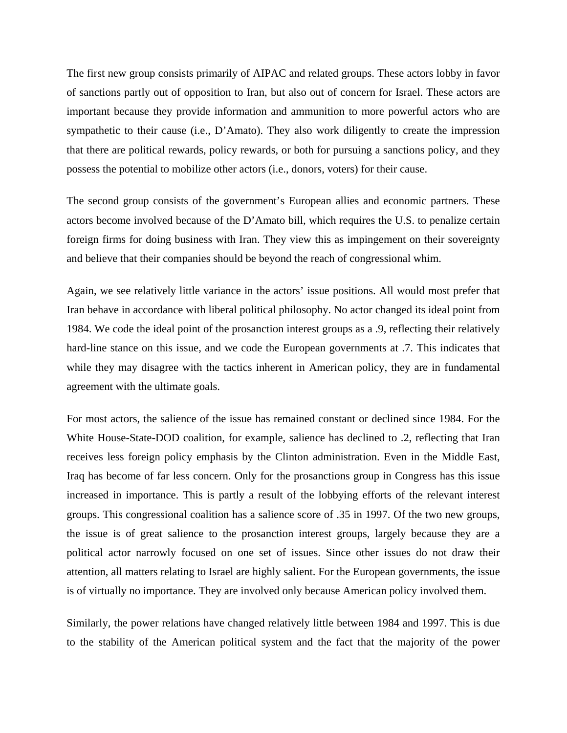The first new group consists primarily of AIPAC and related groups. These actors lobby in favor of sanctions partly out of opposition to Iran, but also out of concern for Israel. These actors are important because they provide information and ammunition to more powerful actors who are sympathetic to their cause (i.e., D'Amato). They also work diligently to create the impression that there are political rewards, policy rewards, or both for pursuing a sanctions policy, and they possess the potential to mobilize other actors (i.e., donors, voters) for their cause.

The second group consists of the government's European allies and economic partners. These actors become involved because of the D'Amato bill, which requires the U.S. to penalize certain foreign firms for doing business with Iran. They view this as impingement on their sovereignty and believe that their companies should be beyond the reach of congressional whim.

1984. We code the ideal point of the prosanction interest groups as a .9, reflecting their relatively hard-line stance on this issue, and we code the European governments at .7. This indicates that while they may disagree with the tactics inherent in American policy, they are in fundamental agreement with the ultimate goals. Again, we see relatively little variance in the actors' issue positions. All would most prefer that Iran behave in accordance with liberal political philosophy. No actor changed its ideal point from

the issue is of great salience to the prosanction interest groups, largely because they are a For most actors, the salience of the issue has remained constant or declined since 1984. For the White House-State-DOD coalition, for example, salience has declined to .2, reflecting that Iran receives less foreign policy emphasis by the Clinton administration. Even in the Middle East, Iraq has become of far less concern. Only for the prosanctions group in Congress has this issue increased in importance. This is partly a result of the lobbying efforts of the relevant interest groups. This congressional coalition has a salience score of .35 in 1997. Of the two new groups, political actor narrowly focused on one set of issues. Since other issues do not draw their attention, all matters relating to Israel are highly salient. For the European governments, the issue is of virtually no importance. They are involved only because American policy involved them.

Similarly, the power relations have changed relatively little between 1984 and 1997. This is due to the stability of the American political system and the fact that the majority of the power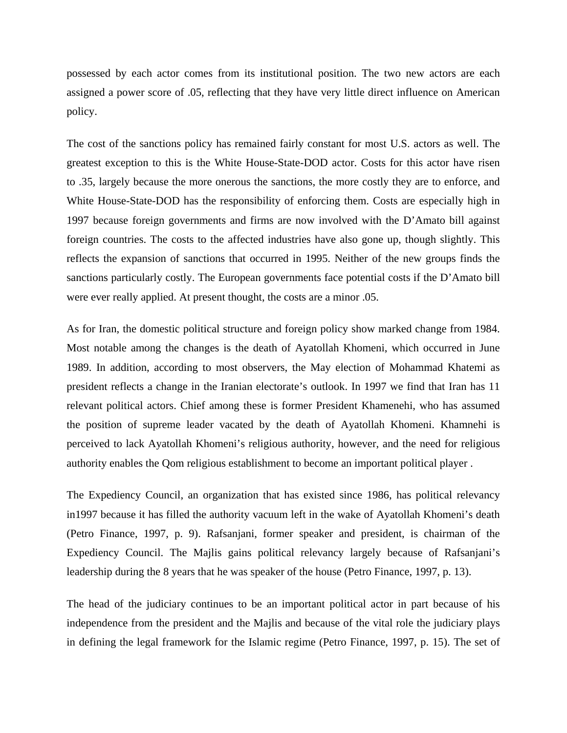possessed by each actor comes from its institutional position. The two new actors are each assigned a power score of .05, reflecting that they have very little direct influence on American policy.

The cost of the sanctions policy has remained fairly constant for most U.S. actors as well. The greatest exception to this is the White House-State-DOD actor. Costs for this actor have risen to .35, largely because the more onerous the sanctions, the more costly they are to enforce, and reflects the expansion of sanctions that occurred in 1995. Neither of the new groups finds the sanctions particularly costly. The European governments face potential costs if the D'Amato bill White House-State-DOD has the responsibility of enforcing them. Costs are especially high in 1997 because foreign governments and firms are now involved with the D'Amato bill against foreign countries. The costs to the affected industries have also gone up, though slightly. This were ever really applied. At present thought, the costs are a minor .05.

president reflects a change in the Iranian electorate's outlook. In 1997 we find that Iran has 11 relevant political actors. Chief among these is former President Khamenehi, who has assumed As for Iran, the domestic political structure and foreign policy show marked change from 1984. Most notable among the changes is the death of Ayatollah Khomeni, which occurred in June 1989. In addition, according to most observers, the May election of Mohammad Khatemi as the position of supreme leader vacated by the death of Ayatollah Khomeni. Khamnehi is perceived to lack Ayatollah Khomeni's religious authority, however, and the need for religious authority enables the Qom religious establishment to become an important political player .

The Expediency Council, an organization that has existed since 1986, has political relevancy in1997 because it has filled the authority vacuum left in the wake of Ayatollah Khomeni's death (Petro Finance, 1997, p. 9). Rafsanjani, former speaker and president, is chairman of the Expediency Council. The Majlis gains political relevancy largely because of Rafsanjani's leadership during the 8 years that he was speaker of the house (Petro Finance, 1997, p. 13).

The head of the judiciary continues to be an important political actor in part because of his independence from the president and the Majlis and because of the vital role the judiciary plays in defining the legal framework for the Islamic regime (Petro Finance, 1997, p. 15). The set of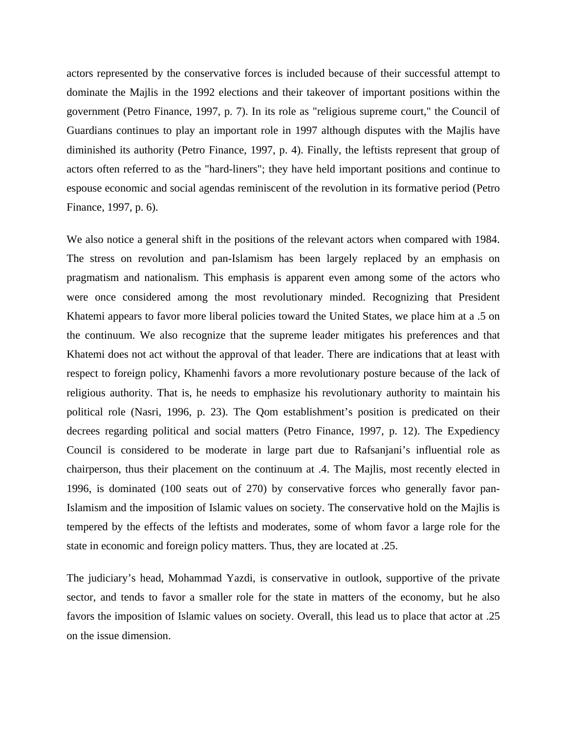actors represented by the conservative forces is included because of their successful attempt to dominate the Majlis in the 1992 elections and their takeover of important positions within the government (Petro Finance, 1997, p. 7). In its role as "religious supreme court," the Council of Guardians continues to play an important role in 1997 although disputes with the Majlis have diminished its authority (Petro Finance, 1997, p. 4). Finally, the leftists represent that group of actors often referred to as the "hard-liners"; they have held important positions and continue to espouse economic and social agendas reminiscent of the revolution in its formative period (Petro Finance, 1997, p. 6).

were once considered among the most revolutionary minded. Recognizing that President Khatemi appears to favor more liberal policies toward the United States, we place him at a .5 on chairperson, thus their placement on the continuum at .4. The Majlis, most recently elected in We also notice a general shift in the positions of the relevant actors when compared with 1984. The stress on revolution and pan-Islamism has been largely replaced by an emphasis on pragmatism and nationalism. This emphasis is apparent even among some of the actors who the continuum. We also recognize that the supreme leader mitigates his preferences and that Khatemi does not act without the approval of that leader. There are indications that at least with respect to foreign policy, Khamenhi favors a more revolutionary posture because of the lack of religious authority. That is, he needs to emphasize his revolutionary authority to maintain his political role (Nasri, 1996, p. 23). The Qom establishment's position is predicated on their decrees regarding political and social matters (Petro Finance, 1997, p. 12). The Expediency Council is considered to be moderate in large part due to Rafsanjani's influential role as 1996, is dominated (100 seats out of 270) by conservative forces who generally favor pan-Islamism and the imposition of Islamic values on society. The conservative hold on the Majlis is tempered by the effects of the leftists and moderates, some of whom favor a large role for the state in economic and foreign policy matters. Thus, they are located at .25.

The judiciary's head, Mohammad Yazdi, is conservative in outlook, supportive of the private sector, and tends to favor a smaller role for the state in matters of the economy, but he also favors the imposition of Islamic values on society. Overall, this lead us to place that actor at .25 on the issue dimension.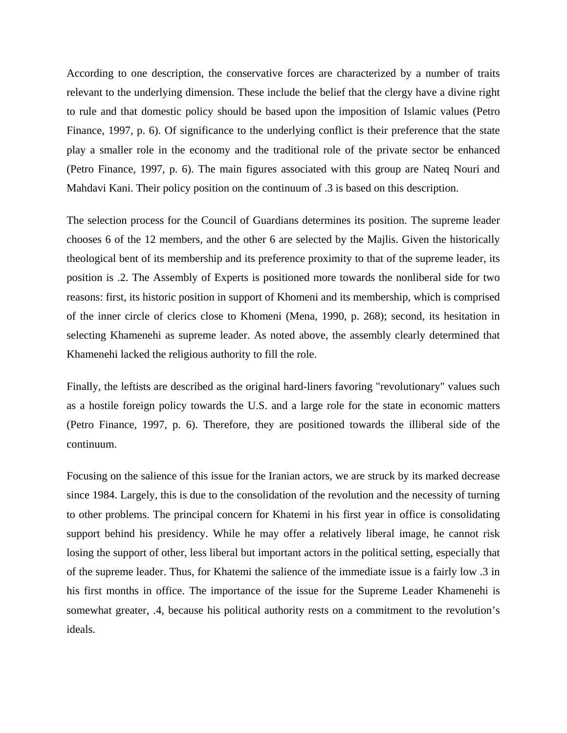According to one description, the conservative forces are characterized by a number of traits relevant to the underlying dimension. These include the belief that the clergy have a divine right to rule and that domestic policy should be based upon the imposition of Islamic values (Petro Finance, 1997, p. 6). Of significance to the underlying conflict is their preference that the state play a smaller role in the economy and the traditional role of the private sector be enhanced (Petro Finance, 1997, p. 6). The main figures associated with this group are Nateq Nouri and Mahdavi Kani. Their policy position on the continuum of .3 is based on this description.

The selection process for the Council of Guardians determines its position. The supreme leader chooses 6 of the 12 members, and the other 6 are selected by the Majlis. Given the historically theological bent of its membership and its preference proximity to that of the supreme leader, its position is .2. The Assembly of Experts is positioned more towards the nonliberal side for two reasons: first, its historic position in support of Khomeni and its membership, which is comprised of the inner circle of clerics close to Khomeni (Mena, 1990, p. 268); second, its hesitation in selecting Khamenehi as supreme leader. As noted above, the assembly clearly determined that Khamenehi lacked the religious authority to fill the role.

Finally, the leftists are described as the original hard-liners favoring "revolutionary" values such as a hostile foreign policy towards the U.S. and a large role for the state in economic matters (Petro Finance, 1997, p. 6). Therefore, they are positioned towards the illiberal side of the continuum.

losing the support of other, less liberal but important actors in the political setting, especially that Focusing on the salience of this issue for the Iranian actors, we are struck by its marked decrease since 1984. Largely, this is due to the consolidation of the revolution and the necessity of turning to other problems. The principal concern for Khatemi in his first year in office is consolidating support behind his presidency. While he may offer a relatively liberal image, he cannot risk of the supreme leader. Thus, for Khatemi the salience of the immediate issue is a fairly low .3 in his first months in office. The importance of the issue for the Supreme Leader Khamenehi is somewhat greater, .4, because his political authority rests on a commitment to the revolution's ideals.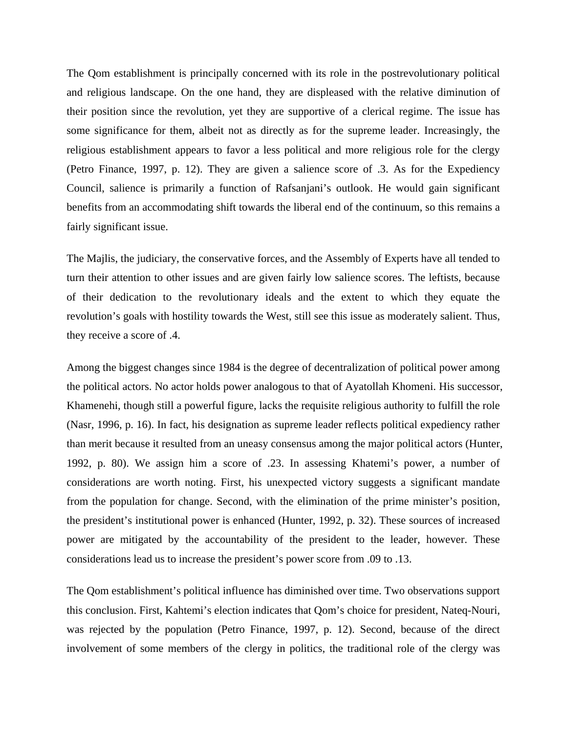The Qom establishment is principally concerned with its role in the postrevolutionary political and religious landscape. On the one hand, they are displeased with the relative diminution of their position since the revolution, yet they are supportive of a clerical regime. The issue has some significance for them, albeit not as directly as for the supreme leader. Increasingly, the religious establishment appears to favor a less political and more religious role for the clergy (Petro Finance, 1997, p. 12). They are given a salience score of .3. As for the Expediency Council, salience is primarily a function of Rafsanjani's outlook. He would gain significant benefits from an accommodating shift towards the liberal end of the continuum, so this remains a fairly significant issue.

The Majlis, the judiciary, the conservative forces, and the Assembly of Experts have all tended to turn their attention to other issues and are given fairly low salience scores. The leftists, because of their dedication to the revolutionary ideals and the extent to which they equate the revolution's goals with hostility towards the West, still see this issue as moderately salient. Thus, they receive a score of .4.

Among the biggest changes since 1984 is the degree of decentralization of political power among than merit because it resulted from an uneasy consensus among the major political actors (Hunter, 1992, p. 80). We assign him a score of .23. In assessing Khatemi's power, a number of the political actors. No actor holds power analogous to that of Ayatollah Khomeni. His successor, Khamenehi, though still a powerful figure, lacks the requisite religious authority to fulfill the role (Nasr, 1996, p. 16). In fact, his designation as supreme leader reflects political expediency rather considerations are worth noting. First, his unexpected victory suggests a significant mandate from the population for change. Second, with the elimination of the prime minister's position, the president's institutional power is enhanced (Hunter, 1992, p. 32). These sources of increased power are mitigated by the accountability of the president to the leader, however. These considerations lead us to increase the president's power score from .09 to .13.

was rejected by the population (Petro Finance, 1997, p. 12). Second, because of the direct involvement of some members of the clergy in politics, the traditional role of the clergy was The Qom establishment's political influence has diminished over time. Two observations support this conclusion. First, Kahtemi's election indicates that Qom's choice for president, Nateq-Nouri,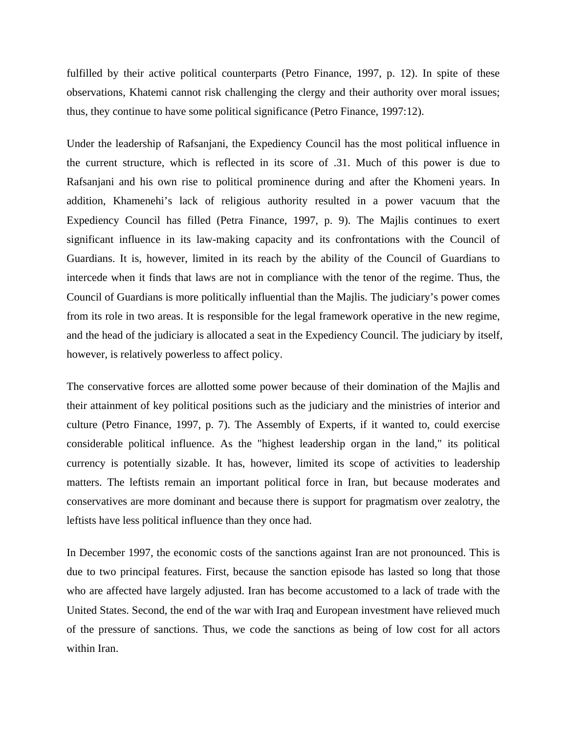fulfilled by their active political counterparts (Petro Finance, 1997, p. 12). In spite of these observations, Khatemi cannot risk challenging the clergy and their authority over moral issues; thus, they continue to have some political significance (Petro Finance, 1997:12).

Under the leadership of Rafsanjani, the Expediency Council has the most political influence in the current structure, which is reflected in its score of .31. Much of this power is due to Rafsanjani and his own rise to political prominence during and after the Khomeni years. In addition, Khamenehi's lack of religious authority resulted in a power vacuum that the Expediency Council has filled (Petra Finance, 1997, p. 9). The Majlis continues to exert significant influence in its law-making capacity and its confrontations with the Council of and the head of the judiciary is allocated a seat in the Expediency Council. The judiciary by itself, however, is relatively powerless to affect policy. Guardians. It is, however, limited in its reach by the ability of the Council of Guardians to intercede when it finds that laws are not in compliance with the tenor of the regime. Thus, the Council of Guardians is more politically influential than the Majlis. The judiciary's power comes from its role in two areas. It is responsible for the legal framework operative in the new regime,

The conservative forces are allotted some power because of their domination of the Majlis and their attainment of key political positions such as the judiciary and the ministries of interior and culture (Petro Finance, 1997, p. 7). The Assembly of Experts, if it wanted to, could exercise considerable political influence. As the "highest leadership organ in the land," its political currency is potentially sizable. It has, however, limited its scope of activities to leadership matters. The leftists remain an important political force in Iran, but because moderates and conservatives are more dominant and because there is support for pragmatism over zealotry, the leftists have less political influence than they once had.

In December 1997, the economic costs of the sanctions against Iran are not pronounced. This is due to two principal features. First, because the sanction episode has lasted so long that those who are affected have largely adjusted. Iran has become accustomed to a lack of trade with the United States. Second, the end of the war with Iraq and European investment have relieved much of the pressure of sanctions. Thus, we code the sanctions as being of low cost for all actors within Iran.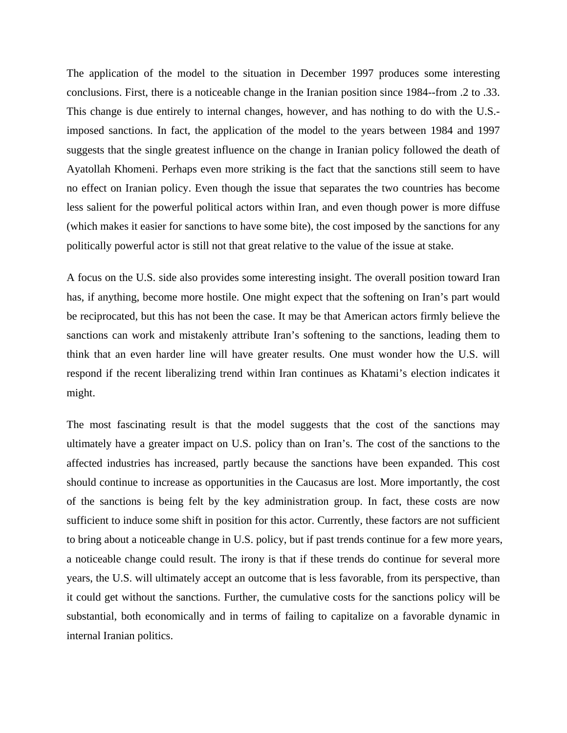The application of the model to the situation in December 1997 produces some interesting conclusions. First, there is a noticeable change in the Iranian position since 1984--from .2 to .33. This change is due entirely to internal changes, however, and has nothing to do with the U.S. imposed sanctions. In fact, the application of the model to the years between 1984 and 1997 suggests that the single greatest influence on the change in Iranian policy followed the death of Ayatollah Khomeni. Perhaps even more striking is the fact that the sanctions still seem to have no effect on Iranian policy. Even though the issue that separates the two countries has become less salient for the powerful political actors within Iran, and even though power is more diffuse (which makes it easier for sanctions to have some bite), the cost imposed by the sanctions for any politically powerful actor is still not that great relative to the value of the issue at stake.

think that an even harder line will have greater results. One must wonder how the U.S. will respond if the recent liberalizing trend within Iran continues as Khatami's election indicates it A focus on the U.S. side also provides some interesting insight. The overall position toward Iran has, if anything, become more hostile. One might expect that the softening on Iran's part would be reciprocated, but this has not been the case. It may be that American actors firmly believe the sanctions can work and mistakenly attribute Iran's softening to the sanctions, leading them to might.

sufficient to induce some shift in position for this actor. Currently, these factors are not sufficient to bring about a noticeable change in U.S. policy, but if past trends continue for a few more years, The most fascinating result is that the model suggests that the cost of the sanctions may ultimately have a greater impact on U.S. policy than on Iran's. The cost of the sanctions to the affected industries has increased, partly because the sanctions have been expanded. This cost should continue to increase as opportunities in the Caucasus are lost. More importantly, the cost of the sanctions is being felt by the key administration group. In fact, these costs are now a noticeable change could result. The irony is that if these trends do continue for several more years, the U.S. will ultimately accept an outcome that is less favorable, from its perspective, than it could get without the sanctions. Further, the cumulative costs for the sanctions policy will be substantial, both economically and in terms of failing to capitalize on a favorable dynamic in internal Iranian politics.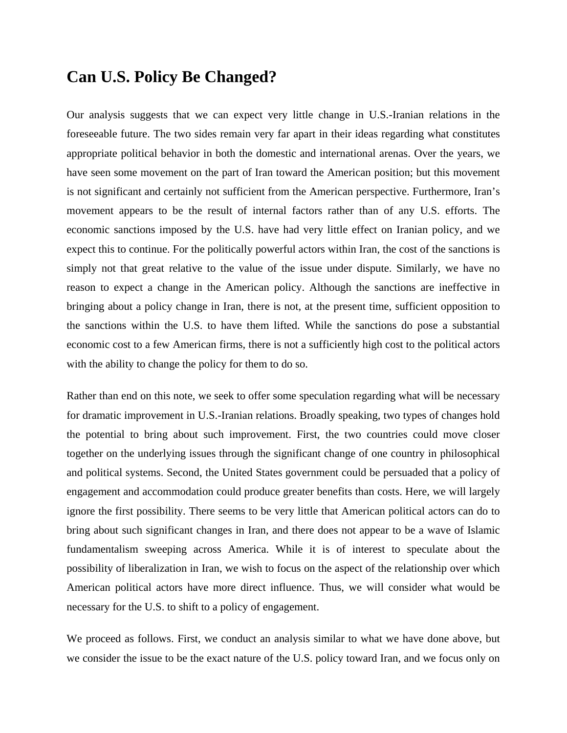#### **Can U.S. Policy Be Changed?**

Our analysis suggests that we can expect very little change in U.S.-Iranian relations in the foreseeable future. The two sides remain very far apart in their ideas regarding what constitutes appropriate political behavior in both the domestic and international arenas. Over the years, we have seen some movement on the part of Iran toward the American position; but this movement is not significant and certainly not sufficient from the American perspective. Furthermore, Iran's movement appears to be the result of internal factors rather than of any U.S. efforts. The economic sanctions imposed by the U.S. have had very little effect on Iranian policy, and we expect this to continue. For the politically powerful actors within Iran, the cost of the sanctions is simply not that great relative to the value of the issue under dispute. Similarly, we have no reason to expect a change in the American policy. Although the sanctions are ineffective in bringing about a policy change in Iran, there is not, at the present time, sufficient opposition to the sanctions within the U.S. to have them lifted. While the sanctions do pose a substantial economic cost to a few American firms, there is not a sufficiently high cost to the political actors with the ability to change the policy for them to do so.

Rather than end on this note, we seek to offer some speculation regarding what will be necessary for dramatic improvement in U.S.-Iranian relations. Broadly speaking, two types of changes hold the potential to bring about such improvement. First, the two countries could move closer together on the underlying issues through the significant change of one country in philosophical and political systems. Second, the United States government could be persuaded that a policy of engagement and accommodation could produce greater benefits than costs. Here, we will largely ignore the first possibility. There seems to be very little that American political actors can do to bring about such significant changes in Iran, and there does not appear to be a wave of Islamic fundamentalism sweeping across America. While it is of interest to speculate about the possibility of liberalization in Iran, we wish to focus on the aspect of the relationship over which American political actors have more direct influence. Thus, we will consider what would be necessary for the U.S. to shift to a policy of engagement.

We proceed as follows. First, we conduct an analysis similar to what we have done above, but we consider the issue to be the exact nature of the U.S. policy toward Iran, and we focus only on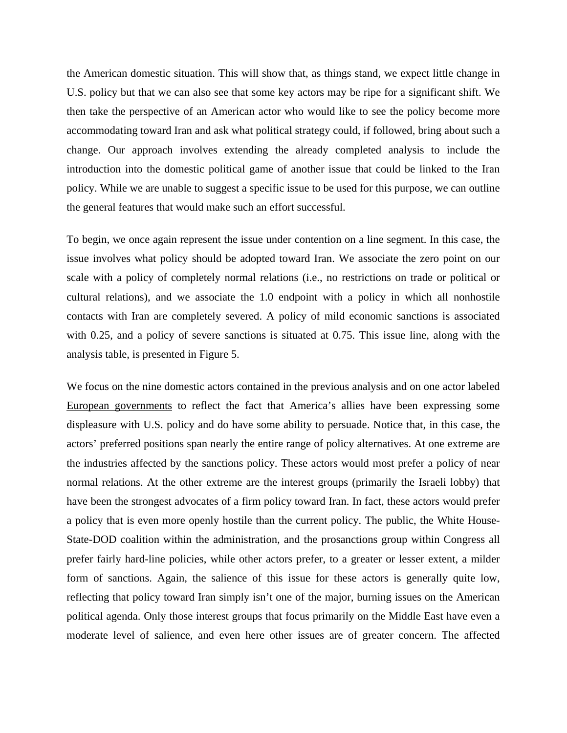the American domestic situation. This will show that, as things stand, we expect little change in U.S. policy but that we can also see that some key actors may be ripe for a significant shift. We then take the perspective of an American actor who would like to see the policy become more accommodating toward Iran and ask what political strategy could, if followed, bring about such a change. Our approach involves extending the already completed analysis to include the introduction into the domestic political game of another issue that could be linked to the Iran policy. While we are unable to suggest a specific issue to be used for this purpose, we can outline the general features that would make such an effort successful.

To begin, we once again represent the issue under contention on a line segment. In this case, the issue involves what policy should be adopted toward Iran. We associate the zero point on our scale with a policy of completely normal relations (i.e., no restrictions on trade or political or cultural relations), and we associate the 1.0 endpoint with a policy in which all nonhostile contacts with Iran are completely severed. A policy of mild economic sanctions is associated with 0.25, and a policy of severe sanctions is situated at 0.75. This issue line, along with the analysis table, is presented in Figure 5.

We focus on the nine domestic actors contained in the previous analysis and on one actor labeled European governments to reflect the fact that America's allies have been expressing some displeasure with U.S. policy and do have some ability to persuade. Notice that, in this case, the actors' preferred positions span nearly the entire range of policy alternatives. At one extreme are the industries affected by the sanctions policy. These actors would most prefer a policy of near normal relations. At the other extreme are the interest groups (primarily the Israeli lobby) that have been the strongest advocates of a firm policy toward Iran. In fact, these actors would prefer a policy that is even more openly hostile than the current policy. The public, the White House-State-DOD coalition within the administration, and the prosanctions group within Congress all prefer fairly hard-line policies, while other actors prefer, to a greater or lesser extent, a milder form of sanctions. Again, the salience of this issue for these actors is generally quite low, reflecting that policy toward Iran simply isn't one of the major, burning issues on the American political agenda. Only those interest groups that focus prim arily on the Middle East have even a moderate level of salience, and even here other issues are of greater concern. The affected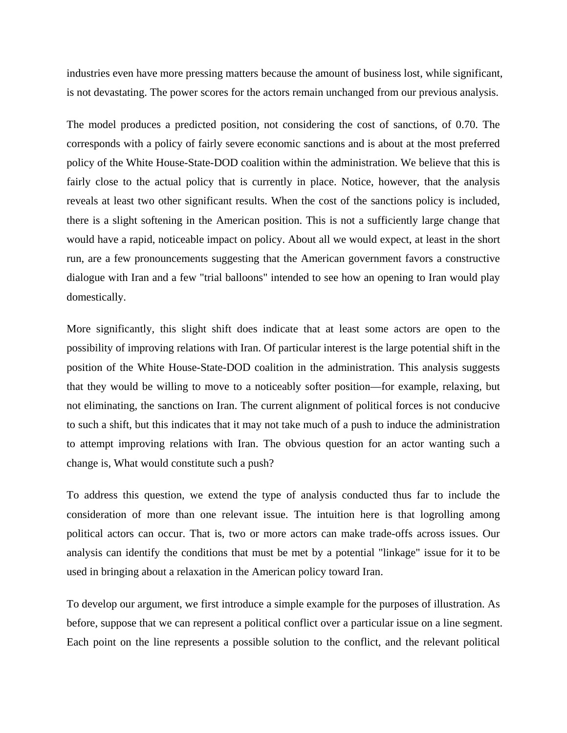industries even have more pressing matters because the amount of business lost, while significant, is not devastating. The power scores for the actors remain unchanged from our previous analysis.

The model produces a predicted position, not considering the cost of sanctions, of 0.70. The corresponds with a policy of fairly severe economic sanctions and is about at the most preferred policy of the White House-State-DOD coalition within the administration. We believe that this is fairly close to the actual policy that is currently in place. Notice, however, that the analysis reveals at least two other significant results. When the cost of the sanctions policy is included, there is a slight softening in the American position. This is not a sufficiently large change that would have a rapid, noticeable impact on policy. About all we would expect, at least in the short run, are a few pronouncements suggesting that the American government favors a constructive dialogue with Iran and a few "trial balloons" intended to see how an opening to Iran would play domestically.

possibility of improving relations with Iran. Of particular interest is the large potential shift in the position of the White House-State-DOD coalition in the administration. This analysis suggests More significantly, this slight shift does indicate that at least some actors are open to the that they would be willing to move to a noticeably softer position—for example, relaxing, but not eliminating, the sanctions on Iran. The current alignment of political forces is not conducive to such a shift, but this indicates that it may not take much of a push to induce the administration to attempt improving relations with Iran. The obvious question for an actor wanting such a change is, What would constitute such a push?

To address this question, we extend the type of analysis conducted thus far to include the consideration of more than one relevant issue. The intuition here is that logrolling among political actors can occur. That is, two or more actors can make trade-offs across issues. Our analysis can identify the conditions that must be met by a potential "linkage" issue for it to be used in bringing about a relaxation in the American policy toward Iran.

To develop our argument, we first introduce a simple example for the purposes of illustration. As before, suppose that we can represent a political conflict over a particular issue on a line segment. Each point on the line represents a possible solution to the conflict, and the relevant political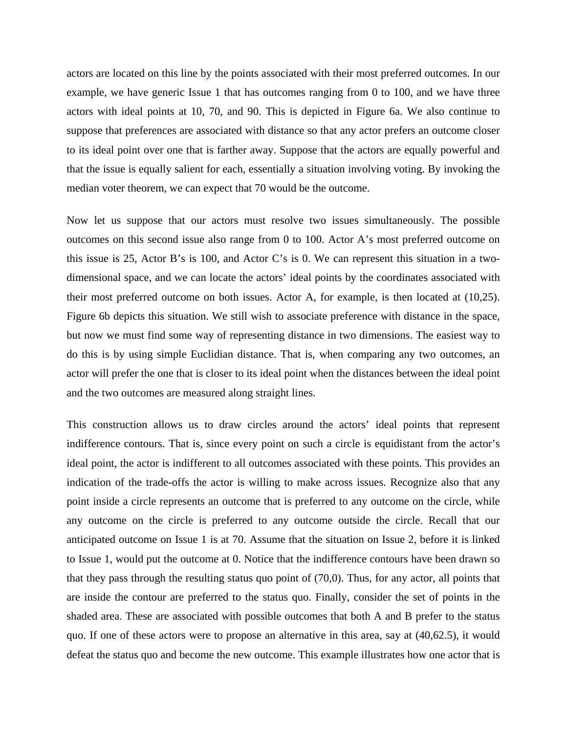actors are located on this line by the points associated with their most preferred outcomes. In our example, we have generic Issue 1 that has outcomes ranging from 0 to 100, and we have three actors with ideal points at 10, 70, and 90. This is depicted in Figure 6a. We also continue to suppose that preferences are associated with distance so that any actor prefers an outcome closer to its ideal point over one that is farther away. Suppose that the actors are equally powerful and that the issue is equally salient for each, essentially a situation involving voting. By invoking the median voter theorem, we can expect that 70 would be the outcome.

their most preferred outcome on both issues. Actor A, for example, is then located at  $(10,25)$ . Figure 6b depicts this situation. We still wish to associate preference with distance in the space, Now let us suppose that our actors must resolve two issues simultaneously. The possible outcomes on this second issue also range from 0 to 100. Actor A's most preferred outcome on this issue is 25, Actor B's is 100, and Actor C's is 0. We can represent this situation in a twodimensional space, and we can locate the actors' ideal points by the coordinates associated with but now we must find some way of representing distance in two dimensions. The easiest way to do this is by using simple Euclidian distance. That is, when comparing any two outcomes, an actor will prefer the one that is closer to its ideal point when the distances between the ideal point and the two outcomes are measured along straight lines.

ideal point, the actor is indifferent to all outcomes associated with these points. This provides an indication of the trade-offs the actor is willing to make across issues. Recognize also that any that they pass through the resulting status quo point of (70,0). Thus, for any actor, all points that defeat the status quo and become the new outcome. This example illustrates how one actor that is This construction allows us to draw circles around the actors' ideal points that represent indifference contours. That is, since every point on such a circle is equidistant from the actor's point inside a circle represents an outcome that is preferred to any outcome on the circle, while any outcome on the circle is preferred to any outcome outside the circle. Recall that our anticipated outcome on Issue 1 is at 70. Assume that the situation on Issue 2, before it is linked to Issue 1, would put the outcome at 0. Notice that the indifference contours have been drawn so are inside the contour are preferred to the status quo. Finally, consider the set of points in the shaded area. These are associated with possible outcomes that both A and B prefer to the status quo. If one of these actors were to propose an alternative in this area, say at (40,62.5), it would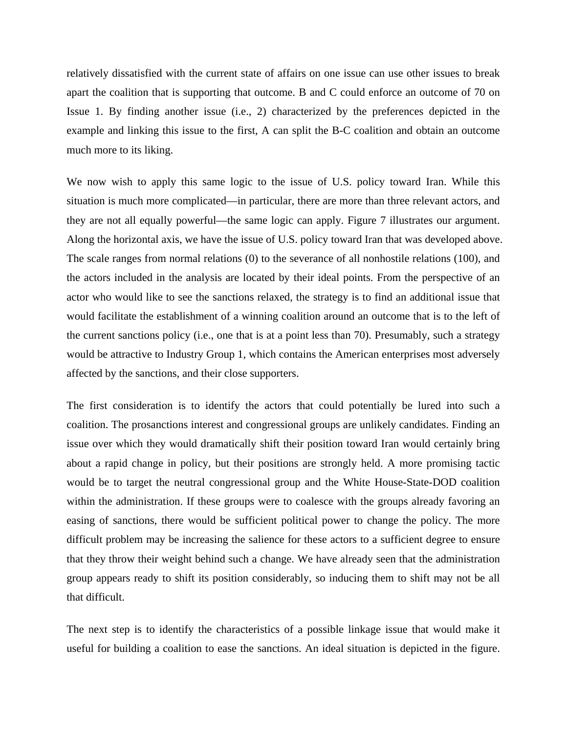relatively dissatisfied with the current state of affairs on one issue can use other issues to break apart the coalition that is supporting that outcome. B and C could enforce an outcome of 70 on Issue 1. By finding another issue (i.e., 2) characterized by the preferences depicted in the example and linking this issue to the first, A can split the B-C coalition and obtain an outcome much more to its liking.

We now wish to apply this same logic to the issue of U.S. policy toward Iran. While this situation is much more complicated—in particular, there are more than three relevant actors, and they are not all equally powerful—the same logic can apply. Figure 7 illustrates our argument. Along the horizontal axis, we have the issue of U.S. policy toward Iran that was developed above. The scale ranges from normal relations (0) to the severance of all nonhostile relations (100), and the actors included in the analysis are located by their ideal points. From the perspective of an actor who would like to see the sanctions relaxed, the strategy is to find an additional issue that would facilitate the establishment of a winning coalition around an outcome that is to the left of the current sanctions policy (i.e., one that is at a point less than 70). Presumably, such a strategy would be attractive to Industry Group 1, which contains the American enterprises most adversely affected by the sanctions, and their close supporters.

The first consideration is to identify the actors that could potentially be lured into such a coalition. The prosanctions interest and congressional groups are unlikely candidates. Finding an issue over which they would dramatically shift their position toward Iran would certainly bring about a rapid change in policy, but their positions are strongly held. A more promising tactic would be to target the neutral congressional group and the White House-State-DOD coalition within the administration. If these groups were to coalesce with the groups already favoring an easing of sanctions, there would be sufficient political power to change the policy. The more difficult problem may be increasing the salience for these actors to a sufficient degree to ensure that they throw their weight behind such a change. We have already seen that the administration group appears ready to shift its position considerably, so inducing them to shift may not be all that difficult.

The next step is to identify the characteristics of a possible linkage issue that would make it useful for building a coalition to ease the sanctions. An ideal situation is depicted in the figure.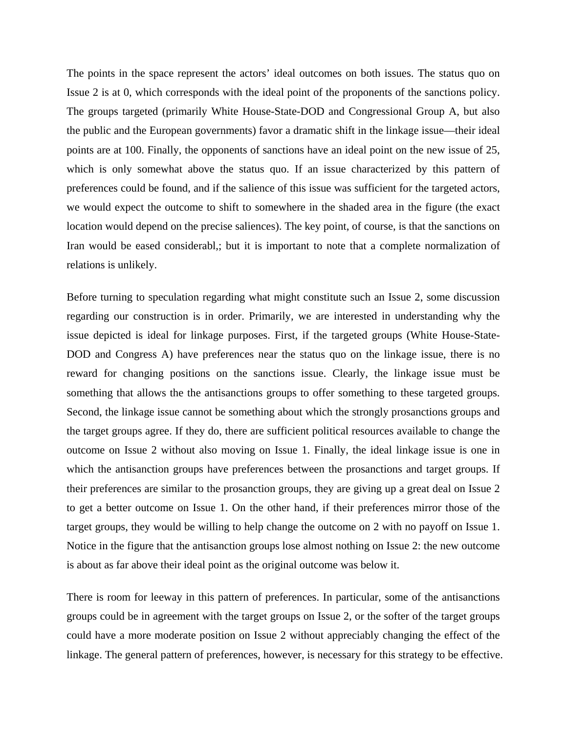The points in the space represent the actors' ideal outcomes on both issues. The status quo on Issue 2 is at 0, which corresponds with the ideal point of the proponents of the sanctions policy. The groups targeted (primarily White House-State-DOD and Congressional Group A, but also the public and the European governments) favor a dramatic shift in the linkage issue—their ideal points are at 100. Finally, the opponents of sanctions have an ideal point on the new issue of 25, which is only somewhat above the status quo. If an issue characterized by this pattern of preferences could be found, and if the salience of this issue was sufficient for the targeted actors, we would expect the outcome to shift to somewhere in the shaded area in the figure (the exact location would depend on the precise saliences). The key point, of course, is that the sanctions on Iran would be eased considerabl,; but it is important to note that a complete normalization of relations is unlikely.

reward for changing positions on the sanctions issue. Clearly, the linkage issue must be something that allows the the antisanctions groups to offer something to these targeted groups. Before turning to speculation regarding what might constitute such an Issue 2, some discussion regarding our construction is in order. Primarily, we are interested in understanding why the issue depicted is ideal for linkage purposes. First, if the targeted groups (White House-State-DOD and Congress A) have preferences near the status quo on the linkage issue, there is no Second, the linkage issue cannot be something about which the strongly prosanctions groups and the target groups agree. If they do, there are sufficient political resources available to change the outcome on Issue 2 without also moving on Issue 1. Finally, the ideal linkage issue is one in which the antisanction groups have preferences between the prosanctions and target groups. If their preferences are similar to the prosanction groups, they are giving up a great deal on Issue 2 to get a better outcome on Issue 1. On the other hand, if their preferences mirror those of the target groups, they would be willing to help change the outcome on 2 with no payoff on Issue 1. Notice in the figure that the antisanction groups lose almost nothing on Issue 2: the new outcome is about as far above their ideal point as the original outcome was below it.

There is room for leeway in this pattern of preferences. In particular, some of the antisanctions groups could be in agreement with the target groups on Issue 2, or the softer of the target groups could have a more moderate position on Issue 2 without appreciably changing the effect of the linkage. The general pattern of preferences, however, is necessary for this strategy to be effective.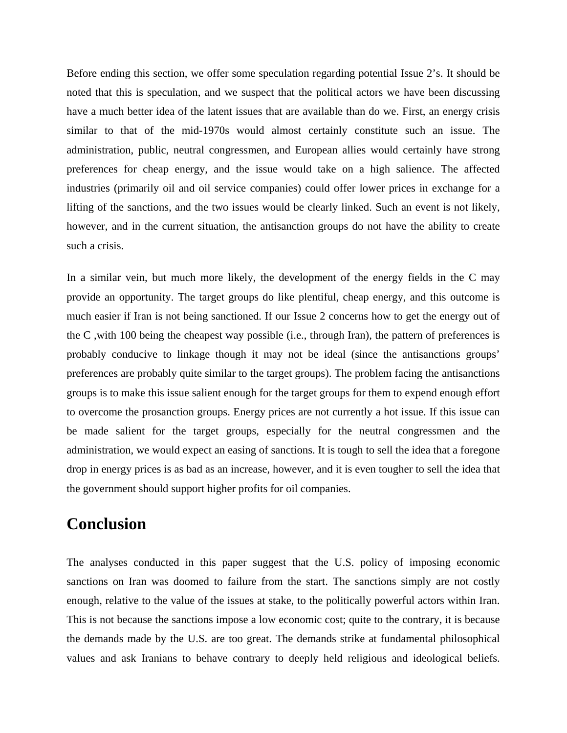Before ending this section, we offer some speculation regarding potential Issue 2's. It should be noted that this is speculation, and we suspect that the political actors we have been discussing have a much better idea of the latent issues that are available than do we. First, an energy crisis similar to that of the mid-1970s would almost certainly constitute such an issue. The administration, public, neutral congressmen, and European allies would certainly have strong preferences for cheap energy, and the issue would take on a high salience. The affected industries (primarily oil and oil service companies) could offer lower prices in exchange for a lifting of the sanctions, and the two issues would be clearly linked. Such an event is not likely, however, and in the current situation, the antisanction groups do not have the ability to create such a crisis.

In a similar vein, but much more likely, the development of the energy fields in the C may provide an opportunity. The target groups do like plentiful, cheap energy, and this outcome is much easier if Iran is not being sanctioned. If our Issue 2 concerns how to get the energy out of the C ,with 100 being the cheapest way possible (i.e., through Iran), the pattern of preferences is probably conducive to linkage though it may not be ideal (since the antisanctions groups' preferences are probably quite similar to the target groups). The problem facing the antisanctions groups is to make this issue salient enough for the target groups for them to expend enough effort to overcome the prosanction groups. Energy prices are not currently a hot issue. If this issue can be made salient for the target groups, especially for the neutral congressmen and the administration, we would expect an easing of sanctions. It is tough to sell the idea that a foregone drop in energy prices is as bad as an increase, however, and it is even tougher to sell the idea that the government should support higher profits for oil companies.

# **Conclusion**

The analyses conducted in this paper suggest that the U.S. policy of imposing economic sanctions on Iran was doomed to failure from the start. The sanctions simply are not costly enough, relative to the value of the issues at stake, to the politically powerful actors within Iran. This is not because the sanctions impose a low economic cost; quite to the contrary, it is because the demands made by the U.S. are too great. The demands strike at fundamental philosophical values and ask Iranians to behave contrary to deeply held religious and ideological beliefs.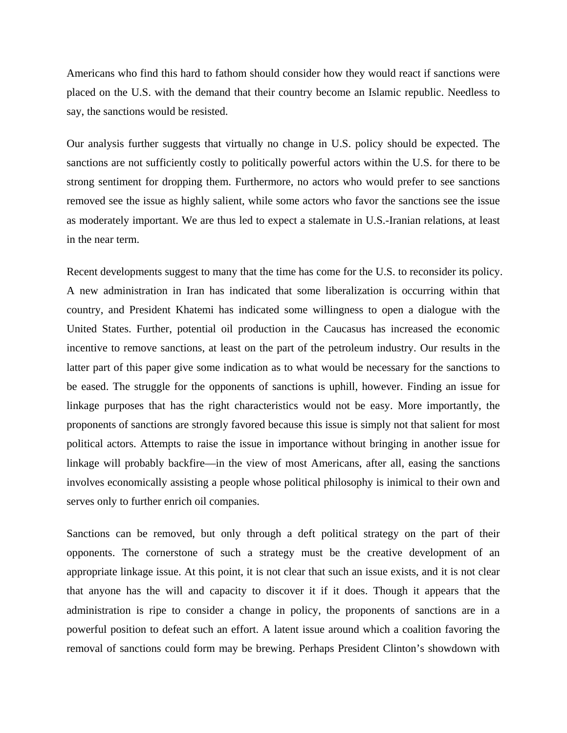Americans who find this hard to fathom should consider how they would react if sanctions were placed on the U.S. with the demand that their country become an Islamic republic. Needless to say, the sanctions would be resisted.

Our analysis further suggests that virtually no change in U.S. policy should be expected. The sanctions are not sufficiently costly to politically powerful actors within the U.S. for there to be strong sentiment for dropping them. Furthermore, no actors who would prefer to see sanctions removed see the issue as highly salient, while some actors who favor the sanctions see the issue as moderately important. We are thus led to expect a stalemate in U.S.-Iranian relations, at least in the near term.

involves economically assisting a people whose political philosophy is inimical to their own and serves only to further enrich oil companies. Recent developments suggest to many that the time has come for the U.S. to reconsider its policy. A new administration in Iran has indicated that some liberalization is occurring within that country, and President Khatemi has indicated some willingness to open a dialogue with the United States. Further, potential oil production in the Caucasus has increased the economic incentive to remove sanctions, at least on the part of the petroleum industry. Our results in the latter part of this paper give some indication as to what would be necessary for the sanctions to be eased. The struggle for the opponents of sanctions is uphill, however. Finding an issue for linkage purposes that has the right characteristics would not be easy. More importantly, the proponents of sanctions are strongly favored because this issue is simply not that salient for most political actors. Attempts to raise the issue in importance without bringing in another issue for linkage will probably backfire—in the view of most Americans, after all, easing the sanctions

Sanctions can be removed, but only through a deft political strategy on the part of their opponents. The cornerstone of such a strategy must be the creative development of an appropriate linkage issue. At this point, it is not clear that such an issue exists, and it is not clear that anyone has the will and capacity to discover it if it does. Though it appears that the administration is ripe to consider a change in policy, the proponents of sanctions are in a powerful position to defeat such an effort. A latent issue around which a coalition favoring the removal of sanctions could form may be brewing. Perhaps President Clinton's showdown with